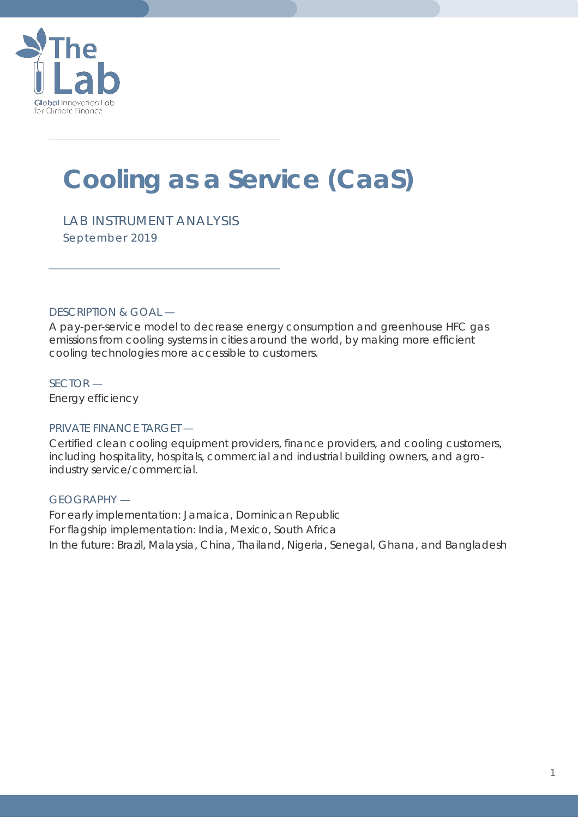

# **Cooling as a Service (CaaS)**

*LAB INSTRUMENT ANALYSIS September 2019*

DESCRIPTION & GOAL —

A pay-per-service model to decrease energy consumption and greenhouse HFC gas emissions from cooling systems in cities around the world, by making more efficient cooling technologies more accessible to customers.

SECTOR — Energy efficiency

### PRIVATE FINANCE TARGET —

Certified clean cooling equipment providers, finance providers, and cooling customers, including hospitality, hospitals, commercial and industrial building owners, and agroindustry service/commercial.

### GEOGRAPHY —

For early implementation: Jamaica, Dominican Republic For flagship implementation: India, Mexico, South Africa In the future: Brazil, Malaysia, China, Thailand, Nigeria, Senegal, Ghana, and Bangladesh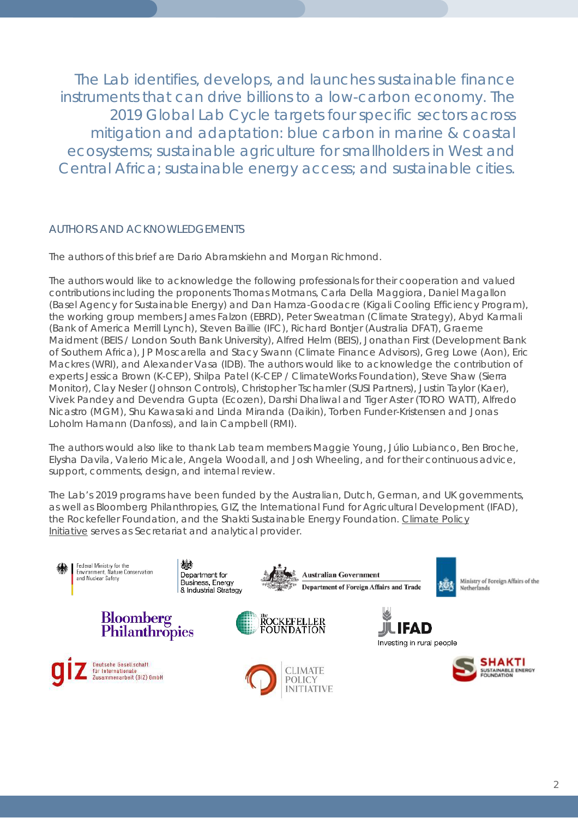The Lab identifies, develops, and launches sustainable finance instruments that can drive billions to a low-carbon economy. The 2019 Global Lab Cycle targets four specific sectors across mitigation and adaptation: blue carbon in marine & coastal ecosystems; sustainable agriculture for smallholders in West and Central Africa; sustainable energy access; and sustainable cities.

### AUTHORS AND ACKNOWLEDGEMENTS

The authors of this brief are Dario Abramskiehn and Morgan Richmond.

The authors would like to acknowledge the following professionals for their cooperation and valued contributions including the proponents Thomas Motmans, Carla Della Maggiora, Daniel Magallon (Basel Agency for Sustainable Energy) and Dan Hamza-Goodacre (Kigali Cooling Efficiency Program), the working group members James Falzon (EBRD), Peter Sweatman (Climate Strategy), Abyd Karmali (Bank of America Merrill Lynch), Steven Baillie (IFC), Richard Bontjer (Australia DFAT), Graeme Maidment (BEIS / London South Bank University), Alfred Helm (BEIS), Jonathan First (Development Bank of Southern Africa), JP Moscarella and Stacy Swann (Climate Finance Advisors), Greg Lowe (Aon), Eric Mackres (WRI), and Alexander Vasa (IDB). The authors would like to acknowledge the contribution of experts Jessica Brown (K-CEP), Shilpa Patel (K-CEP / ClimateWorks Foundation), Steve Shaw (Sierra Monitor), Clay Nesler (Johnson Controls), Christopher Tschamler (SUSI Partners), Justin Taylor (Kaer), Vivek Pandey and Devendra Gupta (Ecozen), Darshi Dhaliwal and Tiger Aster (TORO WATT), Alfredo Nicastro (MGM), Shu Kawasaki and Linda Miranda (Daikin), Torben Funder-Kristensen and Jonas Loholm Hamann (Danfoss), and Iain Campbell (RMI).

The authors would also like to thank Lab team members Maggie Young, Júlio Lubianco, Ben Broche, Elysha Davila, Valerio Micale, Angela Woodall, and Josh Wheeling, and for their continuous advice, support, comments, design, and internal review.

The Lab's 2019 programs have been funded by the Australian, Dutch, German, and UK governments, as well as Bloomberg Philanthropies, GIZ, the International Fund for Agricultural Development (IFAD), the Rockefeller Foundation, and the Shakti Sustainable Energy Foundation. [Climate Policy](https://climatepolicyinitiative.org/)  [Initiative](https://climatepolicyinitiative.org/) serves as Secretariat and analytical provider.

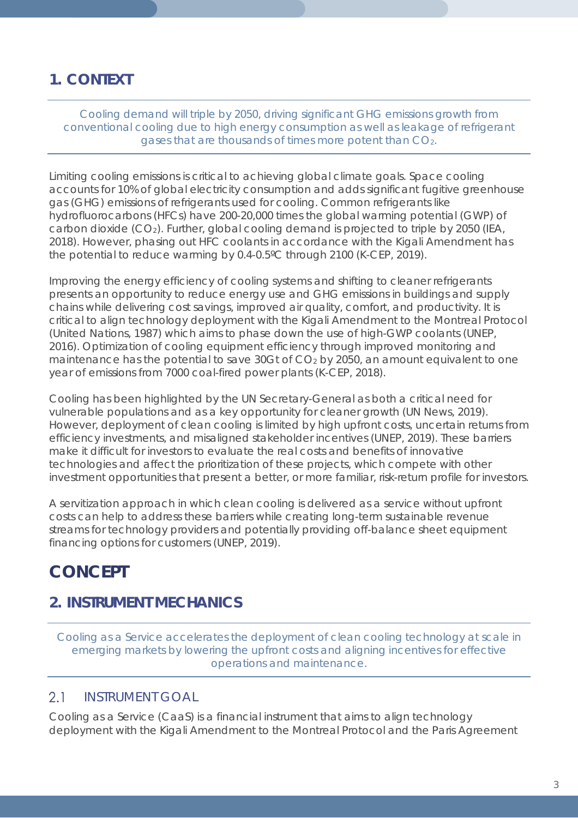## **1. CONTEXT**

*Cooling demand will triple by 2050, driving significant GHG emissions growth from conventional cooling due to high energy consumption as well as leakage of refrigerant gases that are thousands of times more potent than CO2.*

Limiting cooling emissions is critical to achieving global climate goals. Space cooling accounts for 10% of global electricity consumption and adds significant fugitive greenhouse gas (GHG) emissions of refrigerants used for cooling. Common refrigerants like hydrofluorocarbons (HFCs) have 200-20,000 times the global warming potential (GWP) of carbon dioxide  $(CO_2)$ . Further, global cooling demand is projected to triple by 2050 (IEA, 2018). However, phasing out HFC coolants in accordance with the Kigali Amendment has the potential to reduce warming by 0.4-0.5ºC through 2100 (K-CEP, 2019).

Improving the energy efficiency of cooling systems and shifting to cleaner refrigerants presents an opportunity to reduce energy use and GHG emissions in buildings and supply chains while delivering cost savings, improved air quality, comfort, and productivity. It is critical to align technology deployment with the Kigali Amendment to the Montreal Protocol (United Nations, 1987) which aims to phase down the use of high-GWP coolants (UNEP, 2016). Optimization of cooling equipment efficiency through improved monitoring and maintenance has the potential to save 30Gt of CO<sub>2</sub> by 2050, an amount equivalent to one year of emissions from 7000 coal-fired power plants (K-CEP, 2018).

Cooling has been highlighted by the UN Secretary-General as both a critical need for vulnerable populations and as a key opportunity for cleaner growth (UN News, 2019). However, deployment of clean cooling is limited by high upfront costs, uncertain returns from efficiency investments, and misaligned stakeholder incentives (UNEP, 2019). These barriers make it difficult for investors to evaluate the real costs and benefits of innovative technologies and affect the prioritization of these projects, which compete with other investment opportunities that present a better, or more familiar, risk-return profile for investors.

A servitization approach in which clean cooling is delivered as a service without upfront costs can help to address these barriers while creating long-term sustainable revenue streams for technology providers and potentially providing off-balance sheet equipment financing options for customers (UNEP, 2019).

## *CONCEPT*

## **2. INSTRUMENT MECHANICS**

*Cooling as a Service accelerates the deployment of clean cooling technology at scale in emerging markets by lowering the upfront costs and aligning incentives for effective operations and maintenance.*

#### $2.1$ INSTRUMENT GOAL

Cooling as a Service (CaaS) is a financial instrument that aims to align technology deployment with the Kigali Amendment to the Montreal Protocol and the Paris Agreement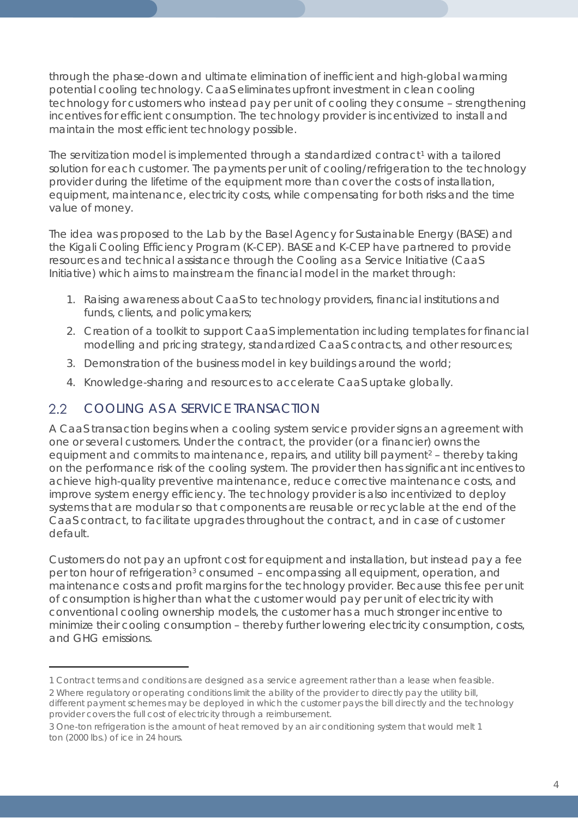through the phase-down and ultimate elimination of inefficient and high-global warming potential cooling technology. CaaS eliminates upfront investment in clean cooling technology for customers who instead pay per unit of cooling they consume – strengthening incentives for efficient consumption. The technology provider is incentivized to install and maintain the most efficient technology possible.

The servitization model is implemented through a standardized contract<sup>[1](#page-3-0)</sup> with a tailored solution for each customer. The payments per unit of cooling/refrigeration to the technology provider during the lifetime of the equipment more than cover the costs of installation, equipment, maintenance, electricity costs, while compensating for both risks and the time value of money.

The idea was proposed to the Lab by the Basel Agency for Sustainable Energy (BASE) and the Kigali Cooling Efficiency Program (K-CEP). BASE and K-CEP have partnered to provide resources and technical assistance through the Cooling as a Service Initiative (CaaS Initiative) which aims to mainstream the financial model in the market through:

- 1. Raising awareness about CaaS to technology providers, financial institutions and funds, clients, and policymakers;
- 2. Creation of a toolkit to support CaaS implementation including templates for financial modelling and pricing strategy, standardized CaaS contracts, and other resources;
- 3. Demonstration of the business model in key buildings around the world;
- 4. Knowledge-sharing and resources to accelerate CaaS uptake globally.

#### $2.2$ COOLING AS A SERVICE TRANSACTION

 $\overline{a}$ 

A CaaS transaction begins when a cooling system service provider signs an agreement with one or several customers. Under the contract, the provider (or a financier) owns the equipment and commits to maintenance, repairs, and utility bill payment<sup>[2](#page-3-1)</sup> – thereby taking on the performance risk of the cooling system. The provider then has significant incentives to achieve high-quality preventive maintenance, reduce corrective maintenance costs, and improve system energy efficiency. The technology provider is also incentivized to deploy systems that are modular so that components are reusable or recyclable at the end of the CaaS contract, to facilitate upgrades throughout the contract, and in case of customer default.

Customers do not pay an upfront cost for equipment and installation, but instead pay a fee per ton hour of refrigeration[3](#page-3-2) consumed – encompassing all equipment, operation, and maintenance costs and profit margins for the technology provider. Because this fee per unit of consumption is higher than what the customer would pay per unit of electricity with conventional cooling ownership models, the customer has a much stronger incentive to minimize their cooling consumption – thereby further lowering electricity consumption, costs, and GHG emissions.

<span id="page-3-0"></span><sup>1</sup> Contract terms and conditions are designed as a service agreement rather than a lease when feasible.

<span id="page-3-1"></span><sup>2</sup> Where regulatory or operating conditions limit the ability of the provider to directly pay the utility bill, different payment schemes may be deployed in which the customer pays the bill directly and the technology provider covers the full cost of electricity through a reimbursement.

<span id="page-3-2"></span><sup>3</sup> One-ton refrigeration is the amount of heat removed by an air conditioning system that would melt 1 ton (2000 lbs.) of ice in 24 hours.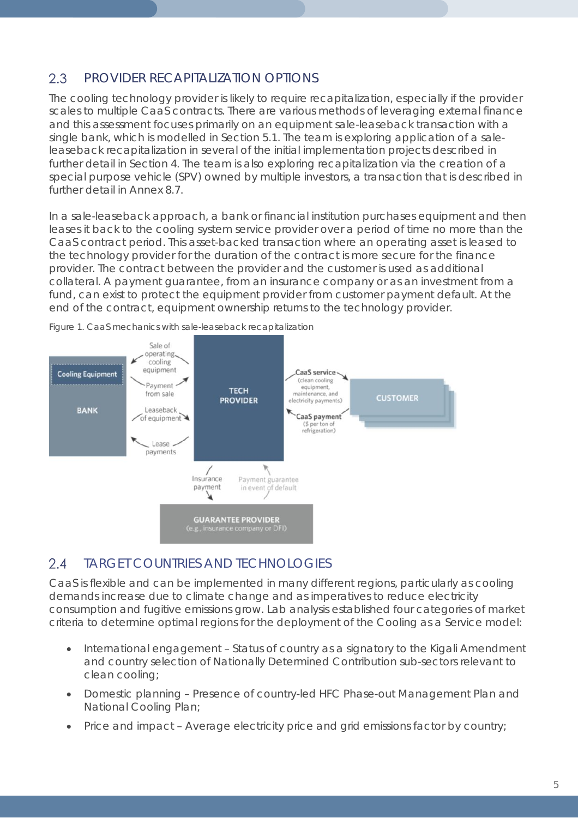#### 2.3 PROVIDER RECAPITALIZATION OPTIONS

The cooling technology provider is likely to require recapitalization, especially if the provider scales to multiple CaaS contracts. There are various methods of leveraging external finance and this assessment focuses primarily on an equipment sale-leaseback transaction with a single bank, which is modelled in *Section [5.1](#page-8-0)*. The team is exploring application of a saleleaseback recapitalization in several of the initial implementation projects described in further detail in Section 4. The team is also exploring recapitalization via the creation of a special purpose vehicle (SPV) owned by multiple investors, a transaction that is described in further detail in *Annex [8.7](#page-22-0)*.

In a sale-leaseback approach, a bank or financial institution purchases equipment and then leases it back to the cooling system service provider over a period of time no more than the CaaS contract period. This asset-backed transaction where an operating asset is leased to the technology provider for the duration of the contract is more secure for the finance provider. The contract between the provider and the customer is used as additional collateral. A payment guarantee, from an insurance company or as an investment from a fund, can exist to protect the equipment provider from customer payment default. At the end of the contract, equipment ownership returns to the technology provider.



*Figure 1. CaaS mechanics with sale-leaseback recapitalization*

#### $2.4$ TARGET COUNTRIES AND TECHNOLOGIES

CaaS is flexible and can be implemented in many different regions, particularly as cooling demands increase due to climate change and as imperatives to reduce electricity consumption and fugitive emissions grow. Lab analysis established four categories of market criteria to determine optimal regions for the deployment of the Cooling as a Service model:

- International engagement Status of country as a signatory to the Kigali Amendment and country selection of Nationally Determined Contribution sub-sectors relevant to clean cooling;
- Domestic planning Presence of country-led HFC Phase-out Management Plan and National Cooling Plan;
- Price and impact Average electricity price and grid emissions factor by country;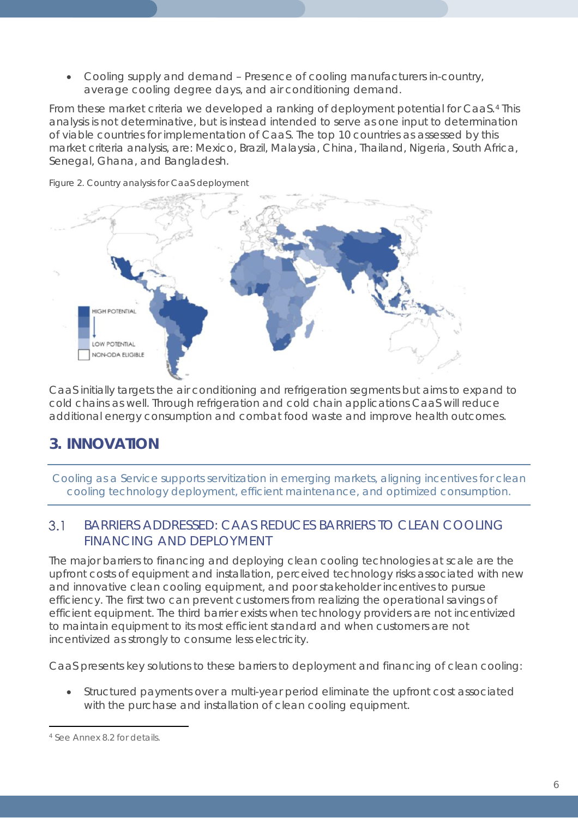• Cooling supply and demand – Presence of cooling manufacturers in-country, average cooling degree days, and air conditioning demand.

From these market criteria we developed a ranking of deployment potential for CaaS.[4](#page-5-0) This analysis is not determinative, but is instead intended to serve as one input to determination of viable countries for implementation of CaaS. The top 10 countries as assessed by this market criteria analysis, are: Mexico, Brazil, Malaysia, China, Thailand, Nigeria, South Africa, Senegal, Ghana, and Bangladesh.



*Figure 2. Country analysis for CaaS deployment*

CaaS initially targets the air conditioning and refrigeration segments but aims to expand to cold chains as well. Through refrigeration and cold chain applications CaaS will reduce additional energy consumption and combat food waste and improve health outcomes.

## **3. INNOVATION**

*Cooling as a Service supports servitization in emerging markets, aligning incentives for clean cooling technology deployment, efficient maintenance, and optimized consumption.* 

### $3.1$ BARRIERS ADDRESSED: CAAS REDUCES BARRIERS TO CLEAN COOLING FINANCING AND DEPLOYMENT

The major barriers to financing and deploying clean cooling technologies at scale are the upfront costs of equipment and installation, perceived technology risks associated with new and innovative clean cooling equipment, and poor stakeholder incentives to pursue efficiency. The first two can prevent customers from realizing the operational savings of efficient equipment. The third barrier exists when technology providers are not incentivized to maintain equipment to its most efficient standard and when customers are not incentivized as strongly to consume less electricity.

CaaS presents key solutions to these barriers to deployment and financing of clean cooling:

• Structured payments over a multi-year period eliminate the upfront cost associated with the purchase and installation of clean cooling equipment.

<span id="page-5-0"></span> $\overline{a}$ <sup>4</sup> See *Annex 8.2* for details.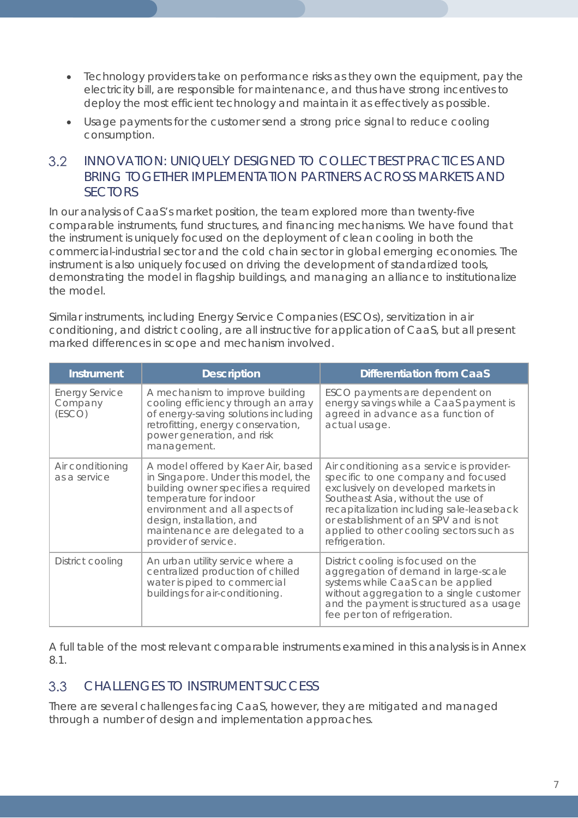- Technology providers take on performance risks as they own the equipment, pay the electricity bill, are responsible for maintenance, and thus have strong incentives to deploy the most efficient technology and maintain it as effectively as possible.
- Usage payments for the customer send a strong price signal to reduce cooling consumption.

### $3.2$ INNOVATION: UNIQUELY DESIGNED TO COLLECT BEST PRACTICES AND BRING TOGETHER IMPLEMENTATION PARTNERS ACROSS MARKETS AND SECTORS

In our analysis of CaaS's market position, the team explored more than twenty-five comparable instruments, fund structures, and financing mechanisms. We have found that the instrument is uniquely focused on the deployment of clean cooling in both the commercial-industrial sector and the cold chain sector in global emerging economies. The instrument is also uniquely focused on driving the development of standardized tools, demonstrating the model in flagship buildings, and managing an alliance to institutionalize the model.

Similar instruments, including Energy Service Companies (ESCOs), servitization in air conditioning, and district cooling, are all instructive for application of CaaS, but all present marked differences in scope and mechanism involved.

| <b>Instrument</b>                          | <b>Description</b>                                                                                                                                                                                                                                                  | <b>Differentiation from CaaS</b>                                                                                                                                                                                                                                                                                   |
|--------------------------------------------|---------------------------------------------------------------------------------------------------------------------------------------------------------------------------------------------------------------------------------------------------------------------|--------------------------------------------------------------------------------------------------------------------------------------------------------------------------------------------------------------------------------------------------------------------------------------------------------------------|
| <b>Energy Service</b><br>Company<br>(ESCO) | A mechanism to improve building<br>cooling efficiency through an array<br>of energy-saving solutions including<br>retrofitting, energy conservation,<br>power generation, and risk<br>management.                                                                   | ESCO payments are dependent on<br>energy savings while a CaaS payment is<br>agreed in advance as a function of<br>actual usage.                                                                                                                                                                                    |
| Air conditioning<br>as a service           | A model offered by Kaer Air, based<br>in Singapore. Under this model, the<br>building owner specifies a required<br>temperature for indoor<br>environment and all aspects of<br>design, installation, and<br>maintenance are delegated to a<br>provider of service. | Air conditioning as a service is provider-<br>specific to one company and focused<br>exclusively on developed markets in<br>Southeast Asia, without the use of<br>recapitalization including sale-leaseback<br>or establishment of an SPV and is not<br>applied to other cooling sectors such as<br>refrigeration. |
| District cooling                           | An urban utility service where a<br>centralized production of chilled<br>water is piped to commercial<br>buildings for air-conditioning.                                                                                                                            | District cooling is focused on the<br>aggregation of demand in large-scale<br>systems while CaaS can be applied<br>without aggregation to a single customer<br>and the payment is structured as a usage<br>fee per ton of refrigeration.                                                                           |

A full table of the most relevant comparable instruments examined in this analysis is in *Annex [8.1](#page-15-0)*.

### $3.3$ CHALLENGES TO INSTRUMENT SUCCESS

There are several challenges facing CaaS, however, they are mitigated and managed through a number of design and implementation approaches.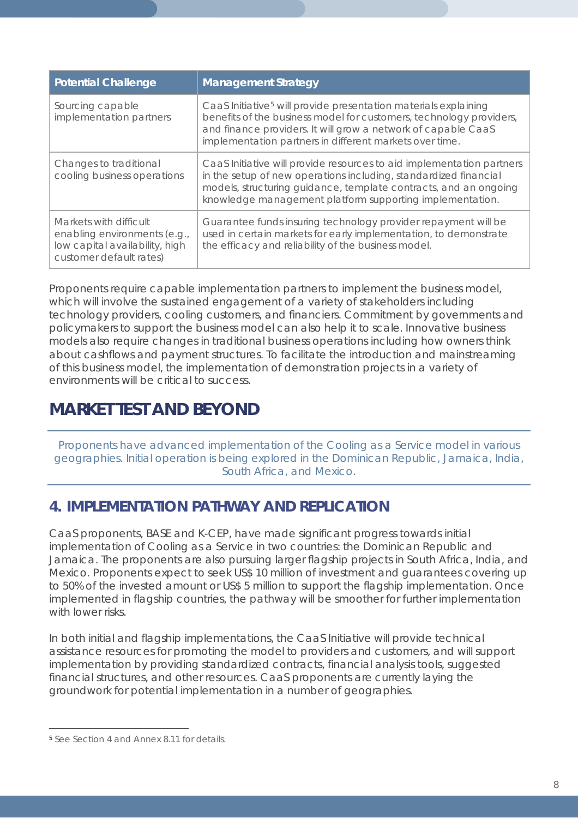| <b>Potential Challenge</b>                                                                                          | <b>Management Strategy</b>                                                                                                                                                                                                                                                     |
|---------------------------------------------------------------------------------------------------------------------|--------------------------------------------------------------------------------------------------------------------------------------------------------------------------------------------------------------------------------------------------------------------------------|
| Sourcing capable<br>implementation partners                                                                         | CaaS Initiative <sup>5</sup> will provide presentation materials explaining<br>benefits of the business model for customers, technology providers,<br>and finance providers. It will grow a network of capable CaaS<br>implementation partners in different markets over time. |
| Changes to traditional<br>cooling business operations                                                               | CaaS Initiative will provide resources to aid implementation partners<br>in the setup of new operations including, standardized financial<br>models, structuring guidance, template contracts, and an ongoing<br>knowledge management platform supporting implementation.      |
| Markets with difficult<br>enabling environments (e.g.,<br>low capital availability, high<br>customer default rates) | Guarantee funds insuring technology provider repayment will be<br>used in certain markets for early implementation, to demonstrate<br>the efficacy and reliability of the business model.                                                                                      |

Proponents require capable implementation partners to implement the business model, which will involve the sustained engagement of a variety of stakeholders including technology providers, cooling customers, and financiers. Commitment by governments and policymakers to support the business model can also help it to scale. Innovative business models also require changes in traditional business operations including how owners think about cashflows and payment structures. To facilitate the introduction and mainstreaming of this business model, the implementation of demonstration projects in a variety of environments will be critical to success.

## *MARKET TEST AND BEYOND*

*Proponents have advanced implementation of the Cooling as a Service model in various geographies. Initial operation is being explored in the Dominican Republic, Jamaica, India, South Africa, and Mexico.*

## <span id="page-7-0"></span>**4. IMPLEMENTATION PATHWAY AND REPLICATION**

CaaS proponents, BASE and K-CEP, have made significant progress towards initial implementation of Cooling as a Service in two countries: the Dominican Republic and Jamaica. The proponents are also pursuing larger flagship projects in South Africa, India, and Mexico. Proponents expect to seek US\$ 10 million of investment and guarantees covering up to 50% of the invested amount or US\$ 5 million to support the flagship implementation. Once implemented in flagship countries, the pathway will be smoother for further implementation with lower risks

In both initial and flagship implementations, the CaaS Initiative will provide technical assistance resources for promoting the model to providers and customers, and will support implementation by providing standardized contracts, financial analysis tools, suggested financial structures, and other resources. CaaS proponents are currently laying the groundwork for potential implementation in a number of geographies.

<span id="page-7-1"></span> $\overline{a}$ <sup>5</sup> See *Section [4](#page-7-0)* and *Annex [8.11](#page-26-0)* for details.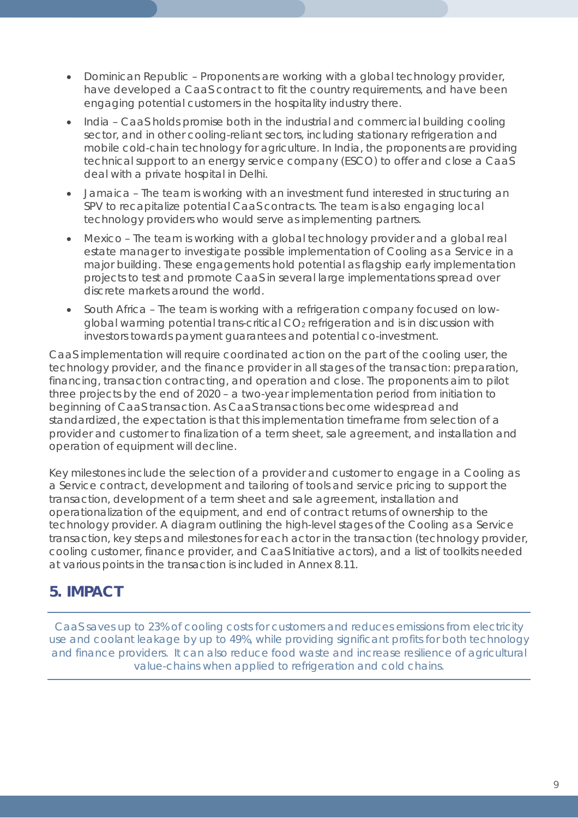- Dominican Republic Proponents are working with a global technology provider, have developed a CaaS contract to fit the country requirements, and have been engaging potential customers in the hospitality industry there.
- India CaaS holds promise both in the industrial and commercial building cooling sector, and in other cooling-reliant sectors, including stationary refrigeration and mobile cold-chain technology for agriculture. In India, the proponents are providing technical support to an energy service company (ESCO) to offer and close a CaaS deal with a private hospital in Delhi.
- Jamaica The team is working with an investment fund interested in structuring an SPV to recapitalize potential CaaS contracts. The team is also engaging local technology providers who would serve as implementing partners.
- Mexico The team is working with a global technology provider and a global real estate manager to investigate possible implementation of Cooling as a Service in a major building. These engagements hold potential as flagship early implementation projects to test and promote CaaS in several large implementations spread over discrete markets around the world.
- South Africa The team is working with a refrigeration company focused on lowglobal warming potential trans-critical CO<sub>2</sub> refrigeration and is in discussion with investors towards payment guarantees and potential co-investment.

CaaS implementation will require coordinated action on the part of the cooling user, the technology provider, and the finance provider in all stages of the transaction: preparation, financing, transaction contracting, and operation and close. The proponents aim to pilot three projects by the end of 2020 – a two-year implementation period from initiation to beginning of CaaS transaction. As CaaS transactions become widespread and standardized, the expectation is that this implementation timeframe from selection of a provider and customer to finalization of a term sheet, sale agreement, and installation and operation of equipment will decline.

Key milestones include the selection of a provider and customer to engage in a Cooling as a Service contract, development and tailoring of tools and service pricing to support the transaction, development of a term sheet and sale agreement, installation and operationalization of the equipment, and end of contract returns of ownership to the technology provider. A diagram outlining the high-level stages of the Cooling as a Service transaction, key steps and milestones for each actor in the transaction (technology provider, cooling customer, finance provider, and CaaS Initiative actors), and a list of toolkits needed at various points in the transaction is included in *Annex [8.11](#page-26-0)*.

## **5. IMPACT**

<span id="page-8-0"></span>*CaaS saves up to 23% of cooling costs for customers and reduces emissions from electricity use and coolant leakage by up to 49%, while providing significant profits for both technology and finance providers. It can also reduce food waste and increase resilience of agricultural value-chains when applied to refrigeration and cold chains.*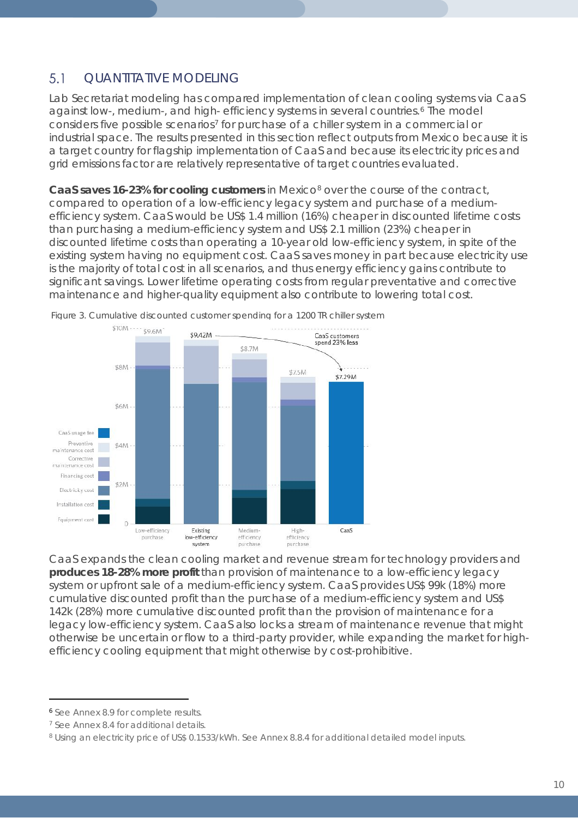### $5.1$ QUANTITATIVE MODELING

Lab Secretariat modeling has compared implementation of clean cooling systems via CaaS against low-, medium-, and high- efficiency systems in several countries.<sup>[6](#page-9-0)</sup> The model considers five possible scenarios<sup>[7](#page-9-1)</sup> for purchase of a chiller system in a commercial or industrial space. The results presented in this section reflect outputs from Mexico because it is a target country for flagship implementation of CaaS and because its electricity prices and grid emissions factor are relatively representative of target countries evaluated.

**CaaS saves 16-23% for cooling customers** in Mexico<sup>[8](#page-9-2)</sup> over the course of the contract, compared to operation of a low-efficiency legacy system and purchase of a mediumefficiency system. CaaS would be US\$ 1.4 million (16%) cheaper in discounted lifetime costs than purchasing a medium-efficiency system and US\$ 2.1 million (23%) cheaper in discounted lifetime costs than operating a 10-year old low-efficiency system, in spite of the existing system having no equipment cost. CaaS saves money in part because electricity use is the majority of total cost in all scenarios, and thus energy efficiency gains contribute to significant savings. Lower lifetime operating costs from regular preventative and corrective maintenance and higher-quality equipment also contribute to lowering total cost.



*Figure 3. Cumulative discounted customer spending for a 1200 TR chiller system*

CaaS expands the clean cooling market and revenue stream for technology providers and **produces 18-28% more profit** than provision of maintenance to a low-efficiency legacy system or upfront sale of a medium-efficiency system. CaaS provides US\$ 99k (18%) more cumulative discounted profit than the purchase of a medium-efficiency system and US\$ 142k (28%) more cumulative discounted profit than the provision of maintenance for a legacy low-efficiency system. CaaS also locks a stream of maintenance revenue that might otherwise be uncertain or flow to a third-party provider, while expanding the market for highefficiency cooling equipment that might otherwise by cost-prohibitive.

 $\overline{a}$ 

<span id="page-9-0"></span><sup>6</sup> See Annex 8.9 for complete results.

<span id="page-9-1"></span><sup>&</sup>lt;sup>7</sup> See Annex [8.4](#page-20-0) for additional details.

<span id="page-9-2"></span><sup>8</sup> Using an electricity price of US\$ 0.1533/kWh. See *Annex 8.8.4* for additional detailed model inputs.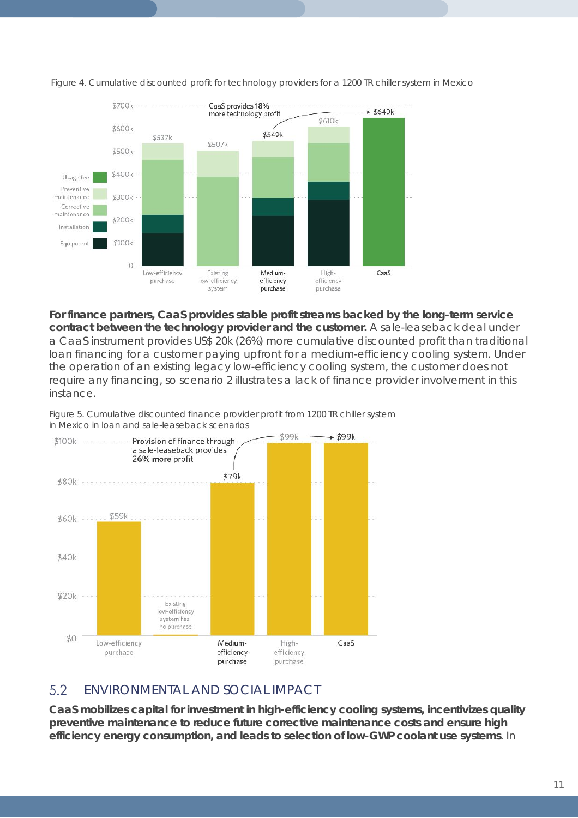

*Figure 4. Cumulative discounted profit for technology providers for a 1200 TR chiller system in Mexico*

**For finance partners, CaaS provides stable profit streams backed by the long-term service contract between the technology provider and the customer.** A sale-leaseback deal under a CaaS instrument provides US\$ 20k (26%) more cumulative discounted profit than traditional loan financing for a customer paying upfront for a medium-efficiency cooling system. Under the operation of an existing legacy low-efficiency cooling system, the customer does not require any financing, so scenario 2 illustrates a lack of finance provider involvement in this instance.





#### 5.2 ENVIRONMENTAL AND SOCIAL IMPACT

**CaaS mobilizes capital for investment in high-efficiency cooling systems, incentivizes quality preventive maintenance to reduce future corrective maintenance costs and ensure high efficiency energy consumption, and leads to selection of low-GWP coolant use systems**. In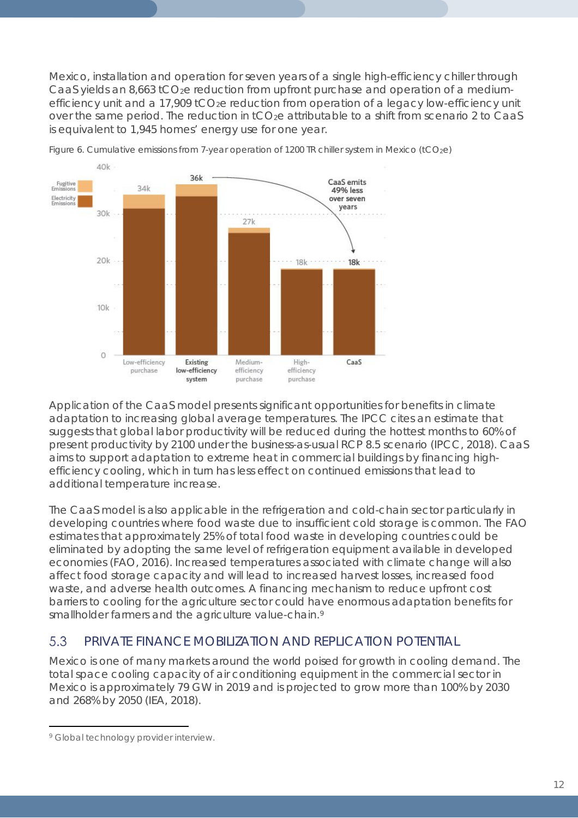Mexico, installation and operation for seven years of a single high-efficiency chiller through CaaS yields an 8,663  $tCO<sub>2</sub>e$  reduction from upfront purchase and operation of a mediumefficiency unit and a  $17,909$  tCO<sub>2</sub>e reduction from operation of a legacy low-efficiency unit over the same period. The reduction in  $tCO<sub>2</sub>e$  attributable to a shift from scenario 2 to CaaS is equivalent to 1,945 homes' energy use for one year.



*Figure 6. Cumulative emissions from 7-year operation of 1200 TR chiller system in Mexico (tCO2e)*

Application of the CaaS model presents significant opportunities for benefits in climate adaptation to increasing global average temperatures. The IPCC cites an estimate that suggests that global labor productivity will be reduced during the hottest months to 60% of present productivity by 2100 under the business-as-usual RCP 8.5 scenario (IPCC, 2018). CaaS aims to support adaptation to extreme heat in commercial buildings by financing highefficiency cooling, which in turn has less effect on continued emissions that lead to additional temperature increase.

The CaaS model is also applicable in the refrigeration and cold-chain sector particularly in developing countries where food waste due to insufficient cold storage is common. The FAO estimates that approximately 25% of total food waste in developing countries could be eliminated by adopting the same level of refrigeration equipment available in developed economies (FAO, 2016). Increased temperatures associated with climate change will also affect food storage capacity and will lead to increased harvest losses, increased food waste, and adverse health outcomes. A financing mechanism to reduce upfront cost barriers to cooling for the agriculture sector could have enormous adaptation benefits for smallholder farmers and the agriculture value-chain.<sup>[9](#page-11-0)</sup>

#### 5.3 PRIVATE FINANCE MOBILIZATION AND REPLICATION POTENTIAL

Mexico is one of many markets around the world poised for growth in cooling demand. The total space cooling capacity of air conditioning equipment in the commercial sector in Mexico is approximately 79 GW in 2019 and is projected to grow more than 100% by 2030 and 268% by 2050 (IEA, 2018).

<span id="page-11-0"></span> $\overline{a}$ <sup>9</sup> Global technology provider interview.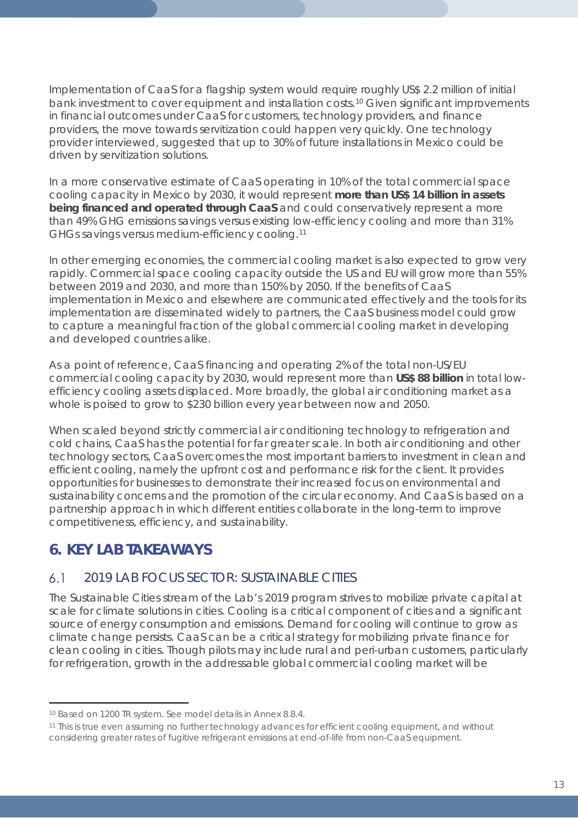Implementation of CaaS for a flagship system would require roughly US\$ 2.2 million of initial bank investment to cover equipment and installation costs.[10](#page-12-0) Given significant improvements in financial outcomes under CaaS for customers, technology providers, and finance providers, the move towards servitization could happen very quickly. One technology provider interviewed, suggested that up to 30% of future installations in Mexico could be driven by servitization solutions.

In a more conservative estimate of CaaS operating in 10% of the total commercial space cooling capacity in Mexico by 2030, it would represent **more than US\$ 14 billion in assets being financed and operated through CaaS** and could conservatively represent a more than 49% GHG emissions savings versus existing low-efficiency cooling and more than 31% GHGs savings versus medium-efficiency cooling.[11](#page-12-1)

In other emerging economies, the commercial cooling market is also expected to grow very rapidly. Commercial space cooling capacity outside the US and EU will grow more than 55% between 2019 and 2030, and more than 150% by 2050. If the benefits of CaaS implementation in Mexico and elsewhere are communicated effectively and the tools for its implementation are disseminated widely to partners, the CaaS business model could grow to capture a meaningful fraction of the global commercial cooling market in developing and developed countries alike.

As a point of reference, CaaS financing and operating 2% of the total non-US/EU commercial cooling capacity by 2030, would represent more than **US\$ 88 billion** in total lowefficiency cooling assets displaced. More broadly, the global air conditioning market as a whole is poised to grow to \$230 billion every year between now and 2050.

When scaled beyond strictly commercial air conditioning technology to refrigeration and cold chains, CaaS has the potential for far greater scale. In both air conditioning and other technology sectors, CaaS overcomes the most important barriers to investment in clean and efficient cooling, namely the upfront cost and performance risk for the client. It provides opportunities for businesses to demonstrate their increased focus on environmental and sustainability concerns and the promotion of the circular economy. And CaaS is based on a partnership approach in which different entities collaborate in the long-term to improve competitiveness, efficiency, and sustainability.

## **6. KEY LAB TAKEAWAYS**

#### $6.1$ 2019 LAB FOCUS SECTOR: SUSTAINABLE CITIES

The Sustainable Cities stream of the Lab's 2019 program strives to mobilize private capital at scale for climate solutions in cities. Cooling is a critical component of cities and a significant source of energy consumption and emissions. Demand for cooling will continue to grow as climate change persists. CaaS can be a critical strategy for mobilizing private finance for clean cooling in cities. Though pilots may include rural and peri-urban customers, particularly for refrigeration, growth in the addressable global commercial cooling market will be

 $\overline{a}$ <sup>10</sup> Based on 1200 TR system. See model details in *Annex [8.8.4](#page-23-0)*.

<span id="page-12-1"></span><span id="page-12-0"></span><sup>11</sup> This is true even assuming no further technology advances for efficient cooling equipment, and without considering greater rates of fugitive refrigerant emissions at end-of-life from non-CaaS equipment.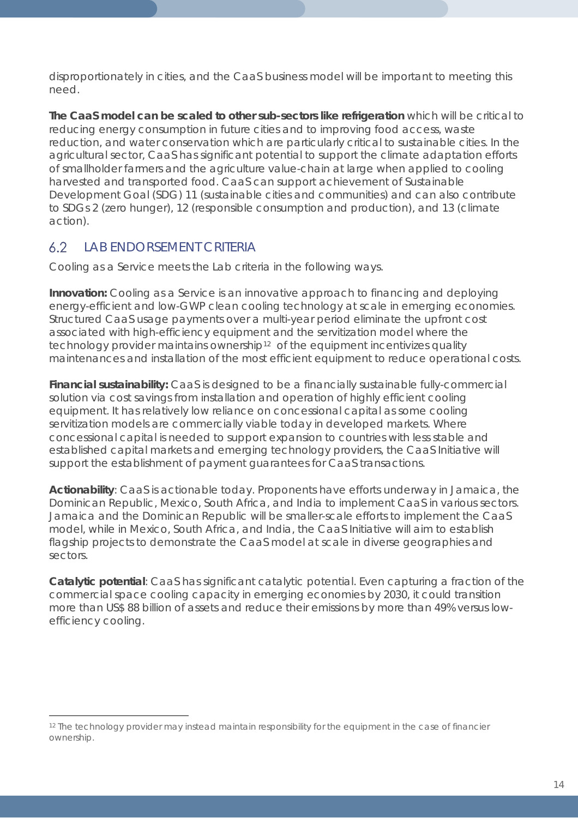disproportionately in cities, and the CaaS business model will be important to meeting this need.

**The CaaS model can be scaled to other sub-sectors like refrigeration** which will be critical to reducing energy consumption in future cities and to improving food access, waste reduction, and water conservation which are particularly critical to sustainable cities. In the agricultural sector, CaaS has significant potential to support the climate adaptation efforts of smallholder farmers and the agriculture value-chain at large when applied to cooling harvested and transported food. CaaS can support achievement of Sustainable Development Goal (SDG) 11 (sustainable cities and communities) and can also contribute to SDGs 2 (zero hunger), 12 (responsible consumption and production), and 13 (climate action).

#### $6.2$ LAB ENDORSEMENT CRITERIA

 $\overline{a}$ 

Cooling as a Service meets the Lab criteria in the following ways.

**Innovation:** Cooling as a Service is an innovative approach to financing and deploying energy-efficient and low-GWP clean cooling technology at scale in emerging economies. Structured CaaS usage payments over a multi-year period eliminate the upfront cost associated with high-efficiency equipment and the servitization model where the technology provider maintains ownership<sup>[12](#page-13-0)</sup> of the equipment incentivizes quality maintenances and installation of the most efficient equipment to reduce operational costs.

**Financial sustainability:** CaaS is designed to be a financially sustainable fully-commercial solution via cost savings from installation and operation of highly efficient cooling equipment. It has relatively low reliance on concessional capital as some cooling servitization models are commercially viable today in developed markets. Where concessional capital is needed to support expansion to countries with less stable and established capital markets and emerging technology providers, the CaaS Initiative will support the establishment of payment guarantees for CaaS transactions.

**Actionability**: CaaS is actionable today. Proponents have efforts underway in Jamaica, the Dominican Republic, Mexico, South Africa, and India to implement CaaS in various sectors. Jamaica and the Dominican Republic will be smaller-scale efforts to implement the CaaS model, while in Mexico, South Africa, and India, the CaaS Initiative will aim to establish flagship projects to demonstrate the CaaS model at scale in diverse geographies and sectors.

**Catalytic potential**: CaaS has significant catalytic potential. Even capturing a fraction of the commercial space cooling capacity in emerging economies by 2030, it could transition more than US\$ 88 billion of assets and reduce their emissions by more than 49% versus lowefficiency cooling.

<span id="page-13-0"></span><sup>&</sup>lt;sup>12</sup> The technology provider may instead maintain responsibility for the equipment in the case of financier ownership.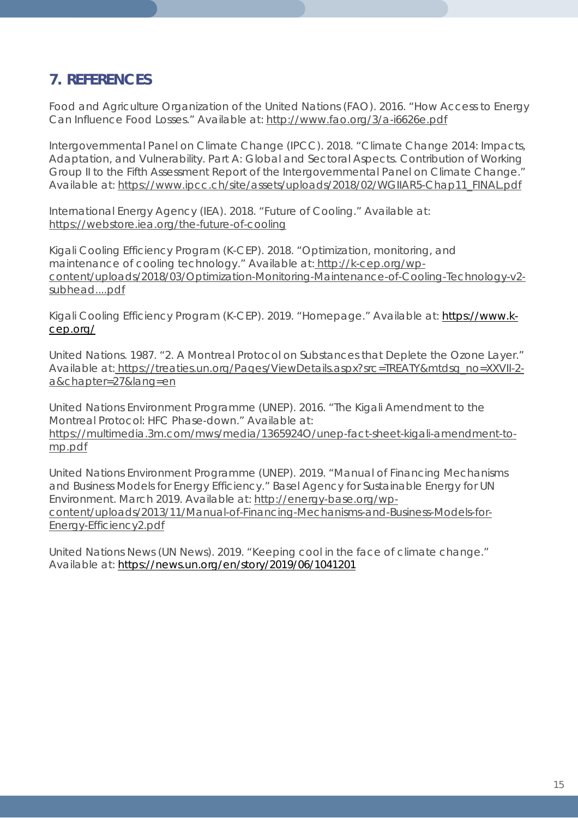## **7. REFERENCES**

Food and Agriculture Organization of the United Nations (FAO). 2016. "How Access to Energy Can Influence Food Losses." Available at:<http://www.fao.org/3/a-i6626e.pdf>

Intergovernmental Panel on Climate Change (IPCC). 2018. "Climate Change 2014: Impacts, Adaptation, and Vulnerability. Part A: Global and Sectoral Aspects. Contribution of Working Group II to the Fifth Assessment Report of the Intergovernmental Panel on Climate Change." Available at: [https://www.ipcc.ch/site/assets/uploads/2018/02/WGIIAR5-Chap11\\_FINAL.pdf](https://www.ipcc.ch/site/assets/uploads/2018/02/WGIIAR5-Chap11_FINAL.pdf)

International Energy Agency (IEA). 2018. "Future of Cooling." Available at: <https://webstore.iea.org/the-future-of-cooling>

Kigali Cooling Efficiency Program (K-CEP). 2018. "Optimization, monitoring, and maintenance of cooling technology." Available at: [http://k-cep.org/wp](http://k-cep.org/wp-content/uploads/2018/03/Optimization-Monitoring-Maintenance-of-Cooling-Technology-v2-subhead....pdf)[content/uploads/2018/03/Optimization-Monitoring-Maintenance-of-Cooling-Technology-v2](http://k-cep.org/wp-content/uploads/2018/03/Optimization-Monitoring-Maintenance-of-Cooling-Technology-v2-subhead....pdf) [subhead....pdf](http://k-cep.org/wp-content/uploads/2018/03/Optimization-Monitoring-Maintenance-of-Cooling-Technology-v2-subhead....pdf)

Kigali Cooling Efficiency Program (K-CEP). 2019. "Homepage." Available at: [https://www.k](https://www.k-cep.org/)[cep.org/](https://www.k-cep.org/)

United Nations. 1987. "2. A Montreal Protocol on Substances that Deplete the Ozone Layer." Available at: [https://treaties.un.org/Pages/ViewDetails.aspx?src=TREATY&mtdsg\\_no=XXVII-2](https://treaties.un.org/Pages/ViewDetails.aspx?src=TREATY&mtdsg_no=XXVII-2-a&chapter=27&lang=en) [a&chapter=27&lang=en](https://treaties.un.org/Pages/ViewDetails.aspx?src=TREATY&mtdsg_no=XXVII-2-a&chapter=27&lang=en)

United Nations Environment Programme (UNEP). 2016. "The Kigali Amendment to the Montreal Protocol: HFC Phase-down." Available at: [https://multimedia.3m.com/mws/media/1365924O/unep-fact-sheet-kigali-amendment-to](https://multimedia.3m.com/mws/media/1365924O/unep-fact-sheet-kigali-amendment-to-mp.pdf)[mp.pdf](https://multimedia.3m.com/mws/media/1365924O/unep-fact-sheet-kigali-amendment-to-mp.pdf)

United Nations Environment Programme (UNEP). 2019. "Manual of Financing Mechanisms and Business Models for Energy Efficiency." Basel Agency for Sustainable Energy for UN Environment. March 2019. Available at: [http://energy-base.org/wp](http://energy-base.org/wp-content/uploads/2013/11/Manual-of-Financing-Mechanisms-and-Business-Models-for-Energy-Efficiency2.pdf)[content/uploads/2013/11/Manual-of-Financing-Mechanisms-and-Business-Models-for-](http://energy-base.org/wp-content/uploads/2013/11/Manual-of-Financing-Mechanisms-and-Business-Models-for-Energy-Efficiency2.pdf)[Energy-Efficiency2.pdf](http://energy-base.org/wp-content/uploads/2013/11/Manual-of-Financing-Mechanisms-and-Business-Models-for-Energy-Efficiency2.pdf)

United Nations News (UN News). 2019. "Keeping cool in the face of climate change." Available at:<https://news.un.org/en/story/2019/06/1041201>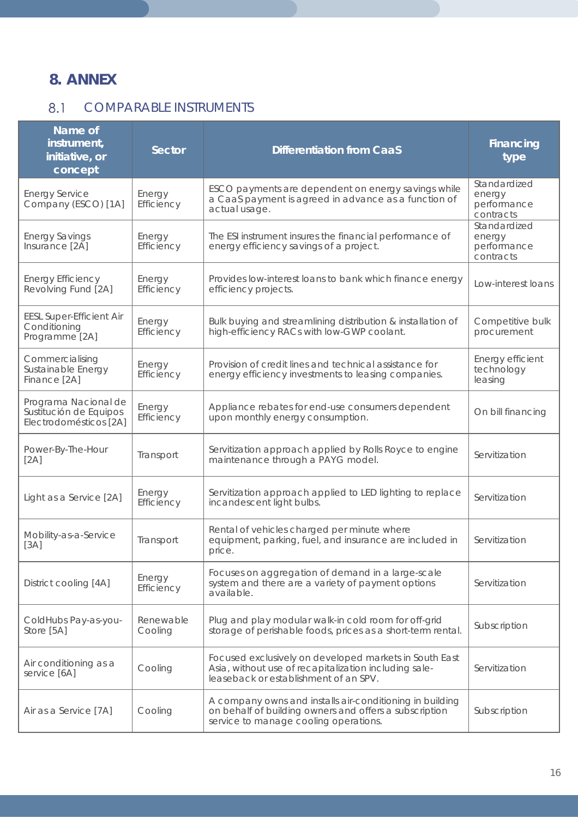## **8. ANNEX**

## <span id="page-15-0"></span>8.1 COMPARABLE INSTRUMENTS

| Name of<br>instrument,<br>initiative, or<br>concept                      | <b>Sector</b>        | <b>Differentiation from CaaS</b>                                                                                                                            | <b>Financing</b><br>type                           |
|--------------------------------------------------------------------------|----------------------|-------------------------------------------------------------------------------------------------------------------------------------------------------------|----------------------------------------------------|
| <b>Energy Service</b><br>Company (ESCO) [1A]                             | Energy<br>Efficiency | ESCO payments are dependent on energy savings while<br>a CaaS payment is agreed in advance as a function of<br>actual usage.                                | Standardized<br>energy<br>performance<br>contracts |
| <b>Energy Savings</b><br>Insurance [2A]                                  | Energy<br>Efficiency | The ESI instrument insures the financial performance of<br>energy efficiency savings of a project.                                                          | Standardized<br>energy<br>performance<br>contracts |
| <b>Energy Efficiency</b><br>Revolving Fund [2A]                          | Energy<br>Efficiency | Provides low-interest loans to bank which finance energy<br>efficiency projects.                                                                            | Low-interest loans                                 |
| <b>EESL Super-Efficient Air</b><br>Conditioning<br>Programme [2A]        | Energy<br>Efficiency | Bulk buying and streamlining distribution & installation of<br>high-efficiency RACs with low-GWP coolant.                                                   | Competitive bulk<br>procurement                    |
| Commercialising<br>Sustainable Energy<br>Finance [2A]                    | Energy<br>Efficiency | Provision of credit lines and technical assistance for<br>energy efficiency investments to leasing companies.                                               | Energy efficient<br>technology<br>leasing          |
| Programa Nacional de<br>Sustitución de Equipos<br>Electrodomésticos [2A] | Energy<br>Efficiency | Appliance rebates for end-use consumers dependent<br>upon monthly energy consumption.                                                                       | On bill financing                                  |
| Power-By-The-Hour<br>[2A]                                                | Transport            | Servitization approach applied by Rolls Royce to engine<br>maintenance through a PAYG model.                                                                | Servitization                                      |
| Light as a Service [2A]                                                  | Energy<br>Efficiency | Servitization approach applied to LED lighting to replace<br>incandescent light bulbs.                                                                      | Servitization                                      |
| Mobility-as-a-Service<br>[3A]                                            | Transport            | Rental of vehicles charged per minute where<br>equipment, parking, fuel, and insurance are included in<br>price.                                            | Servitization                                      |
| District cooling [4A]                                                    | Energy<br>Efficiency | Focuses on aggregation of demand in a large-scale<br>system and there are a variety of payment options<br>available.                                        | Servitization                                      |
| ColdHubs Pay-as-you-<br>Store [5A]                                       | Renewable<br>Cooling | Plug and play modular walk-in cold room for off-grid<br>storage of perishable foods, prices as a short-term rental.                                         | Subscription                                       |
| Air conditioning as a<br>service [6A]                                    | Cooling              | Focused exclusively on developed markets in South East<br>Asia, without use of recapitalization including sale-<br>leaseback or establishment of an SPV.    | Servitization                                      |
| Air as a Service [7A]                                                    | Cooling              | A company owns and installs air-conditioning in building<br>on behalf of building owners and offers a subscription<br>service to manage cooling operations. | Subscription                                       |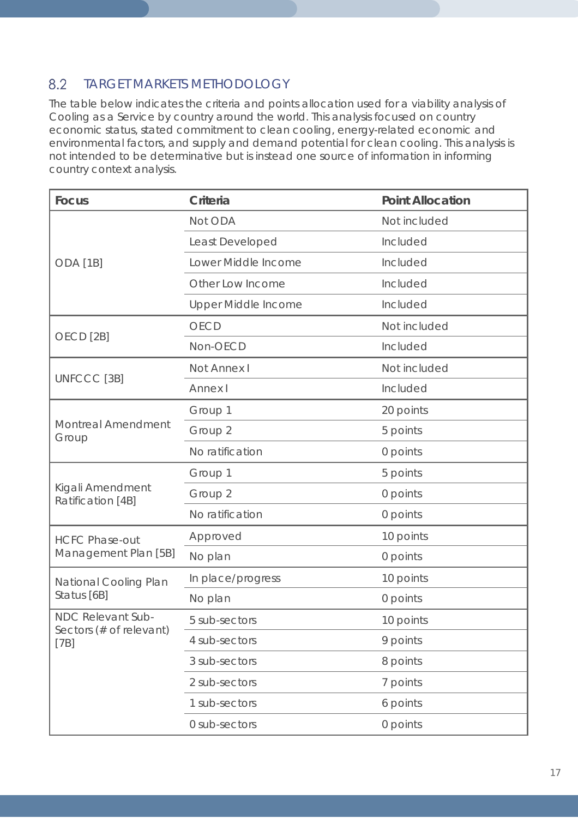#### 8.2 TARGET MARKETS METHODOLOGY

The table below indicates the criteria and points allocation used for a viability analysis of Cooling as a Service by country around the world. This analysis focused on country economic status, stated commitment to clean cooling, energy-related economic and environmental factors, and supply and demand potential for clean cooling. This analysis is not intended to be determinative but is instead one source of information in informing country context analysis.

| <b>Focus</b>                                 | Criteria                   | <b>Point Allocation</b> |
|----------------------------------------------|----------------------------|-------------------------|
|                                              | Not ODA                    | Not included            |
|                                              | Least Developed            | Included                |
| ODA <sub>[1B]</sub>                          | Lower Middle Income        | Included                |
|                                              | Other Low Income           | Included                |
|                                              | <b>Upper Middle Income</b> | Included                |
|                                              | <b>OECD</b>                | Not included            |
| OECD <sub>[2B]</sub>                         | Non-OECD                   | Included                |
|                                              | Not Annex I                | Not included            |
| UNFCCC [3B]                                  | Annex I                    | Included                |
|                                              | Group 1                    | 20 points               |
| <b>Montreal Amendment</b><br>Group           | Group 2                    | 5 points                |
|                                              | No ratification            | 0 points                |
|                                              | Group 1                    | 5 points                |
| Kigali Amendment<br>Ratification [4B]        | Group 2                    | 0 points                |
|                                              | No ratification            | 0 points                |
| <b>HCFC Phase-out</b>                        | Approved                   | 10 points               |
| Management Plan [5B]                         | No plan                    | 0 points                |
| National Cooling Plan                        | In place/progress          | 10 points               |
| Status [6B]                                  | No plan                    | 0 points                |
| NDC Relevant Sub-<br>Sectors (# of relevant) | 5 sub-sectors              | 10 points               |
| [7B]                                         | 4 sub-sectors              | 9 points                |
|                                              | 3 sub-sectors              | 8 points                |
|                                              | 2 sub-sectors              | 7 points                |
|                                              | 1 sub-sectors              | 6 points                |
|                                              | 0 sub-sectors              | 0 points                |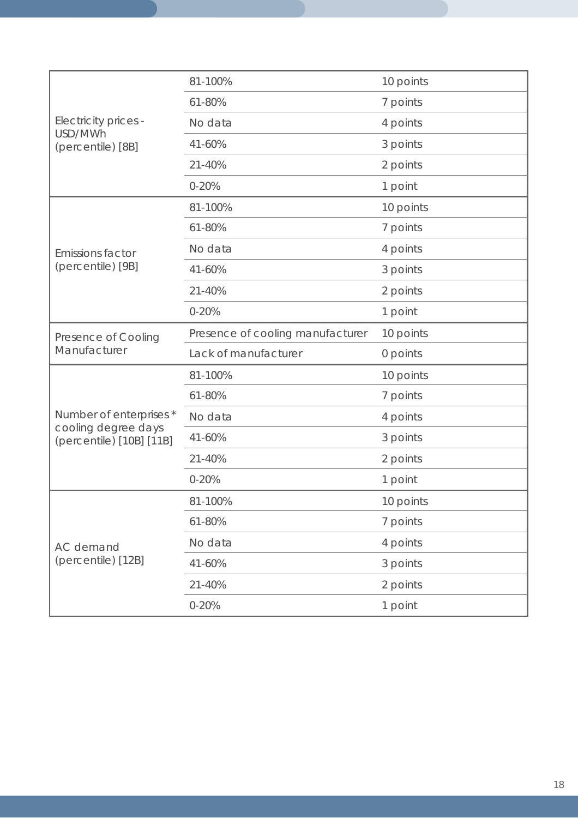|                                                 | 81-100%                          | 10 points |
|-------------------------------------------------|----------------------------------|-----------|
|                                                 | 61-80%                           | 7 points  |
| Electricity prices -                            | No data                          | 4 points  |
| USD/MWh<br>(percentile) [8B]                    | 41-60%                           | 3 points  |
|                                                 | 21-40%                           | 2 points  |
|                                                 | $0 - 20%$                        | 1 point   |
|                                                 | 81-100%                          | 10 points |
|                                                 | 61-80%                           | 7 points  |
| <b>Emissions factor</b>                         | No data                          | 4 points  |
| (percentile) [9B]                               | 41-60%                           | 3 points  |
|                                                 | 21-40%                           | 2 points  |
|                                                 | $0 - 20%$                        | 1 point   |
| Presence of Cooling                             | Presence of cooling manufacturer | 10 points |
| Manufacturer                                    | Lack of manufacturer             | 0 points  |
|                                                 | 81-100%                          | 10 points |
|                                                 | 61-80%                           | 7 points  |
| Number of enterprises *                         | No data                          | 4 points  |
| cooling degree days<br>(percentile) [10B] [11B] | 41-60%                           | 3 points  |
|                                                 | 21-40%                           | 2 points  |
|                                                 | $0 - 20%$                        | 1 point   |
|                                                 | 81-100%                          | 10 points |
|                                                 | 61-80%                           | 7 points  |
| <b>AC</b> demand                                | No data                          | 4 points  |
| (percentile) [12B]                              | 41-60%                           | 3 points  |
|                                                 | 21-40%                           | 2 points  |
|                                                 | $0 - 20%$                        | 1 point   |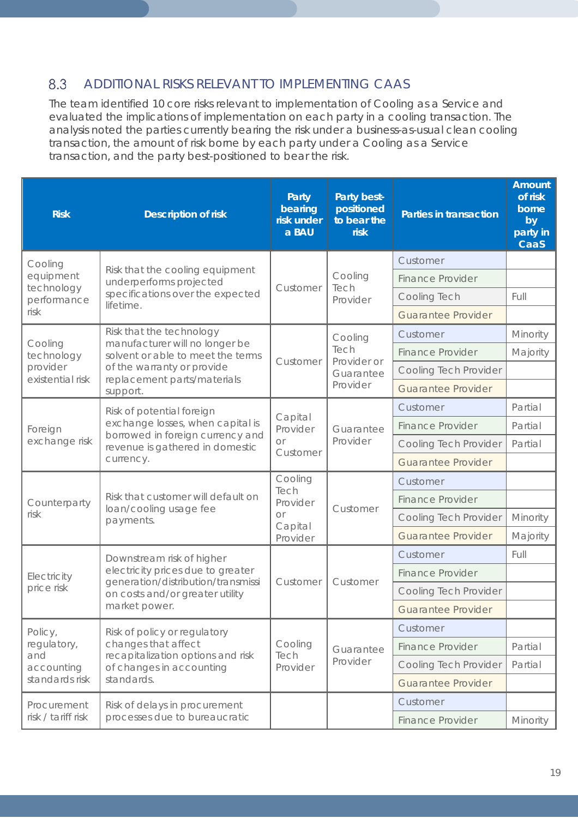#### 8.3 ADDITIONAL RISKS RELEVANT TO IMPLEMENTING CAAS

The team identified 10 core risks relevant to implementation of Cooling as a Service and evaluated the implications of implementation on each party in a cooling transaction. The analysis noted the parties currently bearing the risk under a business-as-usual clean cooling transaction, the amount of risk borne by each party under a Cooling as a Service transaction, and the party best-positioned to bear the risk.

| <b>Risk</b>                  | <b>Description of risk</b>                                                                                                                        | Party<br>bearing<br>risk under<br>a BAU                         | Party best-<br>positioned<br>to bear the<br><b>risk</b> | <b>Parties in transaction</b> | <b>Amount</b><br>of risk<br>borne<br>by<br>party in<br>CaaS |
|------------------------------|---------------------------------------------------------------------------------------------------------------------------------------------------|-----------------------------------------------------------------|---------------------------------------------------------|-------------------------------|-------------------------------------------------------------|
| Cooling                      |                                                                                                                                                   |                                                                 |                                                         | Customer                      |                                                             |
| equipment<br>technology      | Risk that the cooling equipment<br>underperforms projected                                                                                        | Customer                                                        | Cooling<br>Tech                                         | <b>Finance Provider</b>       |                                                             |
| performance                  | specifications over the expected<br>lifetime.                                                                                                     |                                                                 | Provider                                                | Cooling Tech                  | Full                                                        |
| risk                         |                                                                                                                                                   |                                                                 |                                                         | <b>Guarantee Provider</b>     |                                                             |
|                              | Risk that the technology                                                                                                                          |                                                                 | Cooling                                                 | Customer                      | Minority                                                    |
| Cooling<br>technology        | manufacturer will no longer be<br>solvent or able to meet the terms                                                                               | Customer                                                        | Tech<br>Provider or                                     | <b>Finance Provider</b>       | Majority                                                    |
| provider<br>existential risk | of the warranty or provide<br>replacement parts/materials                                                                                         |                                                                 | Guarantee                                               | Cooling Tech Provider         |                                                             |
|                              | support.                                                                                                                                          |                                                                 | Provider                                                | <b>Guarantee Provider</b>     |                                                             |
|                              | Risk of potential foreign<br>exchange losses, when capital is<br>borrowed in foreign currency and<br>revenue is gathered in domestic<br>currency. |                                                                 | Guarantee<br>Provider                                   | Customer                      | Partial                                                     |
| Foreign                      |                                                                                                                                                   | Capital<br>Provider<br>$\Omega$<br>Customer                     |                                                         | <b>Finance Provider</b>       | Partial                                                     |
| exchange risk                |                                                                                                                                                   |                                                                 |                                                         | Cooling Tech Provider         | Partial                                                     |
|                              |                                                                                                                                                   |                                                                 |                                                         | <b>Guarantee Provider</b>     |                                                             |
| Counterparty                 | Risk that customer will default on<br>loan/cooling usage fee<br>payments.                                                                         | Cooling<br>Tech<br>Provider<br><b>Or</b><br>Capital<br>Provider | Customer                                                | Customer                      |                                                             |
|                              |                                                                                                                                                   |                                                                 |                                                         | <b>Finance Provider</b>       |                                                             |
| risk                         |                                                                                                                                                   |                                                                 |                                                         | Cooling Tech Provider         | Minority                                                    |
|                              |                                                                                                                                                   |                                                                 |                                                         | <b>Guarantee Provider</b>     | Majority                                                    |
|                              | Downstream risk of higher                                                                                                                         |                                                                 |                                                         | Customer                      | Full                                                        |
| Electricity                  | electricity prices due to greater<br>generation/distribution/transmissi<br>on costs and/or greater utility<br>market power.                       | Customer                                                        | Customer                                                | <b>Finance Provider</b>       |                                                             |
| price risk                   |                                                                                                                                                   |                                                                 |                                                         | Cooling Tech Provider         |                                                             |
|                              |                                                                                                                                                   |                                                                 |                                                         | <b>Guarantee Provider</b>     |                                                             |
| Policy,                      | Risk of policy or regulatory                                                                                                                      |                                                                 |                                                         | Customer                      |                                                             |
| regulatory,                  | changes that affect                                                                                                                               | Cooling                                                         | Guarantee                                               | <b>Finance Provider</b>       | Partial                                                     |
| and<br>accounting            | recapitalization options and risk<br>of changes in accounting                                                                                     | Tech<br>Provider                                                | Provider                                                | Cooling Tech Provider         | Partial                                                     |
| standards risk               | standards.                                                                                                                                        |                                                                 |                                                         | <b>Guarantee Provider</b>     |                                                             |
| Procurement                  | Risk of delays in procurement                                                                                                                     |                                                                 |                                                         | Customer                      |                                                             |
| risk / tariff risk           | processes due to bureaucratic                                                                                                                     |                                                                 |                                                         | <b>Finance Provider</b>       | Minority                                                    |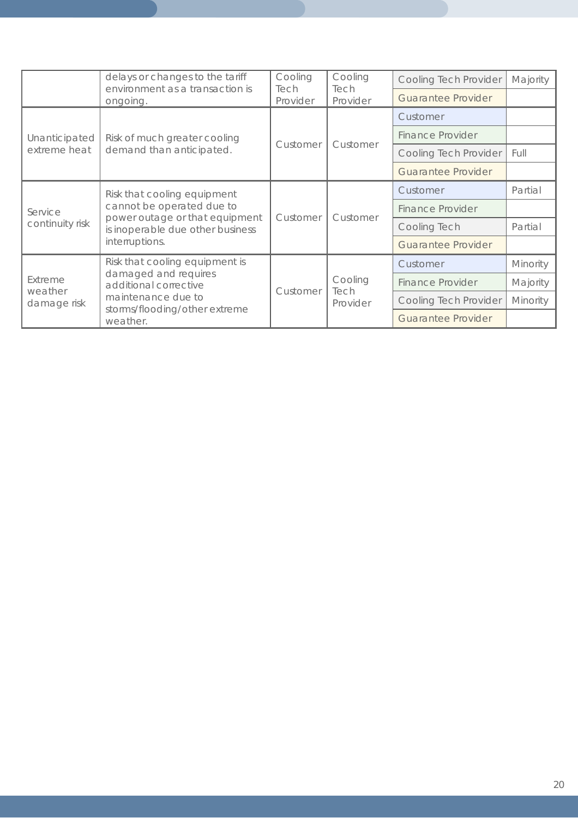|                                   | delays or changes to the tariff<br>Cooling<br>environment as a transaction is<br>Tech<br>Tech<br>Provider<br>ongoing.                              |          | Cooling                     | <b>Cooling Tech Provider</b> | Majority        |
|-----------------------------------|----------------------------------------------------------------------------------------------------------------------------------------------------|----------|-----------------------------|------------------------------|-----------------|
|                                   |                                                                                                                                                    | Provider | <b>Guarantee Provider</b>   |                              |                 |
|                                   | Risk of much greater cooling<br>demand than anticipated.                                                                                           | Customer | Customer                    | Customer                     |                 |
| Unanticipated                     |                                                                                                                                                    |          |                             | <b>Finance Provider</b>      |                 |
| extreme heat                      |                                                                                                                                                    |          |                             | Cooling Tech Provider        | Full            |
|                                   |                                                                                                                                                    |          |                             | <b>Guarantee Provider</b>    |                 |
| Service<br>continuity risk        | Risk that cooling equipment<br>cannot be operated due to<br>power outage or that equipment<br>is inoperable due other business<br>interruptions.   | Customer | Customer                    | Customer                     | Partial         |
|                                   |                                                                                                                                                    |          |                             | <b>Finance Provider</b>      |                 |
|                                   |                                                                                                                                                    |          |                             | Cooling Tech                 | Partial         |
|                                   |                                                                                                                                                    |          |                             | <b>Guarantee Provider</b>    |                 |
| Extreme<br>weather<br>damage risk | Risk that cooling equipment is<br>damaged and requires<br>additional corrective<br>maintenance due to<br>storms/flooding/other extreme<br>weather. | Customer | Cooling<br>Tech<br>Provider | Customer                     | Minority        |
|                                   |                                                                                                                                                    |          |                             | <b>Finance Provider</b>      | Majority        |
|                                   |                                                                                                                                                    |          |                             | Cooling Tech Provider        | <b>Minority</b> |
|                                   |                                                                                                                                                    |          |                             | <b>Guarantee Provider</b>    |                 |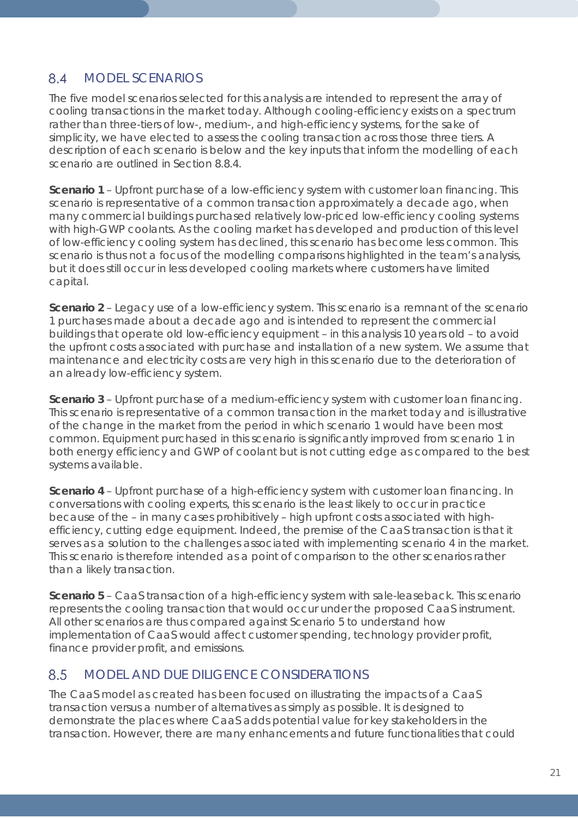#### <span id="page-20-0"></span>8.4 MODEL SCENARIOS

The five model scenarios selected for this analysis are intended to represent the array of cooling transactions in the market today. Although cooling-efficiency exists on a spectrum rather than three-tiers of low-, medium-, and high-efficiency systems, for the sake of simplicity, we have elected to assess the cooling transaction across those three tiers. A description of each scenario is below and the key inputs that inform the modelling of each scenario are outlined in *Section [8.8.4](#page-23-0)*.

**Scenario 1** – Upfront purchase of a low-efficiency system with customer loan financing. This scenario is representative of a common transaction approximately a decade ago, when many commercial buildings purchased relatively low-priced low-efficiency cooling systems with high-GWP coolants. As the cooling market has developed and production of this level of low-efficiency cooling system has declined, this scenario has become less common. This scenario is thus not a focus of the modelling comparisons highlighted in the team's analysis, but it does still occur in less developed cooling markets where customers have limited capital.

**Scenario 2** – Legacy use of a low-efficiency system. This scenario is a remnant of the scenario 1 purchases made about a decade ago and is intended to represent the commercial buildings that operate old low-efficiency equipment – in this analysis 10 years old – to avoid the upfront costs associated with purchase and installation of a new system. We assume that maintenance and electricity costs are very high in this scenario due to the deterioration of an already low-efficiency system.

**Scenario 3** – Upfront purchase of a medium-efficiency system with customer loan financing. This scenario is representative of a common transaction in the market today and is illustrative of the change in the market from the period in which scenario 1 would have been most common. Equipment purchased in this scenario is significantly improved from scenario 1 in both energy efficiency and GWP of coolant but is not cutting edge as compared to the best systems available.

**Scenario 4** – Upfront purchase of a high-efficiency system with customer loan financing. In conversations with cooling experts, this scenario is the least likely to occur in practice because of the – in many cases prohibitively – high upfront costs associated with highefficiency, cutting edge equipment. Indeed, the premise of the CaaS transaction is that it serves as a solution to the challenges associated with implementing scenario 4 in the market. This scenario is therefore intended as a point of comparison to the other scenarios rather than a likely transaction.

**Scenario 5** – CaaS transaction of a high-efficiency system with sale-leaseback. This scenario represents the cooling transaction that would occur under the proposed CaaS instrument. All other scenarios are thus compared against Scenario 5 to understand how implementation of CaaS would affect customer spending, technology provider profit, finance provider profit, and emissions.

#### MODEL AND DUE DILIGENCE CONSIDERATIONS 8.5

The CaaS model as created has been focused on illustrating the impacts of a CaaS transaction versus a number of alternatives as simply as possible. It is designed to demonstrate the places where CaaS adds potential value for key stakeholders in the transaction. However, there are many enhancements and future functionalities that could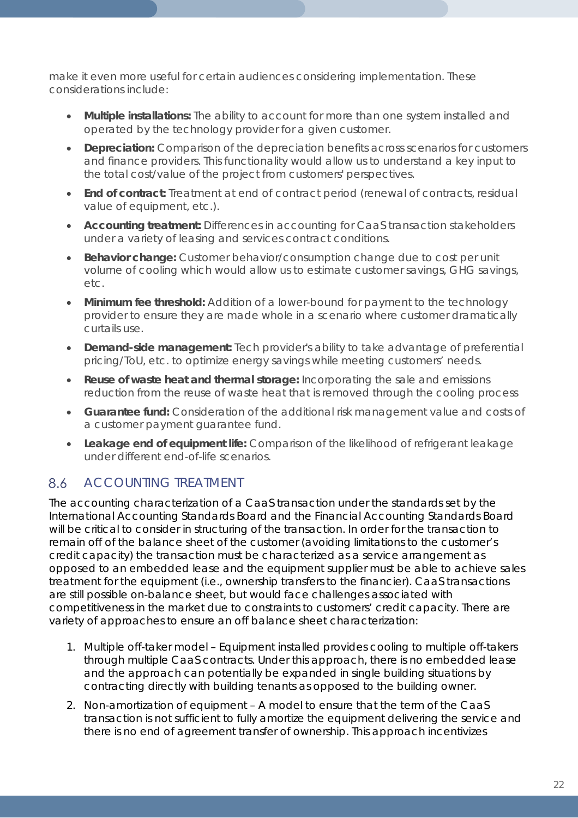make it even more useful for certain audiences considering implementation. These considerations include:

- **Multiple installations:** The ability to account for more than one system installed and operated by the technology provider for a given customer.
- **Depreciation:** Comparison of the depreciation benefits across scenarios for customers and finance providers. This functionality would allow us to understand a key input to the total cost/value of the project from customers' perspectives.
- **End of contract:** Treatment at end of contract period (renewal of contracts, residual value of equipment, etc.).
- **Accounting treatment:** Differences in accounting for CaaS transaction stakeholders under a variety of leasing and services contract conditions.
- **Behavior change:** Customer behavior/consumption change due to cost per unit volume of cooling which would allow us to estimate customer savings, GHG savings, etc.
- **Minimum fee threshold:** Addition of a lower-bound for payment to the technology provider to ensure they are made whole in a scenario where customer dramatically curtails use.
- **Demand-side management:** Tech provider's ability to take advantage of preferential pricing/ToU, etc. to optimize energy savings while meeting customers' needs.
- **Reuse of waste heat and thermal storage:** Incorporating the sale and emissions reduction from the reuse of waste heat that is removed through the cooling process
- **Guarantee fund:** Consideration of the additional risk management value and costs of a customer payment guarantee fund.
- **Leakage end of equipment life:** Comparison of the likelihood of refrigerant leakage under different end-of-life scenarios.

### 8.6 ACCOUNTING TREATMENT

The accounting characterization of a CaaS transaction under the standards set by the International Accounting Standards Board and the Financial Accounting Standards Board will be critical to consider in structuring of the transaction. In order for the transaction to remain off of the balance sheet of the customer (avoiding limitations to the customer's credit capacity) the transaction must be characterized as a service arrangement as opposed to an embedded lease and the equipment supplier must be able to achieve sales treatment for the equipment (i.e., ownership transfers to the financier). CaaS transactions are still possible on-balance sheet, but would face challenges associated with competitiveness in the market due to constraints to customers' credit capacity. There are variety of approaches to ensure an off balance sheet characterization:

- 1. Multiple off-taker model Equipment installed provides cooling to multiple off-takers through multiple CaaS contracts. Under this approach, there is no embedded lease and the approach can potentially be expanded in single building situations by contracting directly with building tenants as opposed to the building owner.
- 2. Non-amortization of equipment A model to ensure that the term of the CaaS transaction is not sufficient to fully amortize the equipment delivering the service and there is no end of agreement transfer of ownership. This approach incentivizes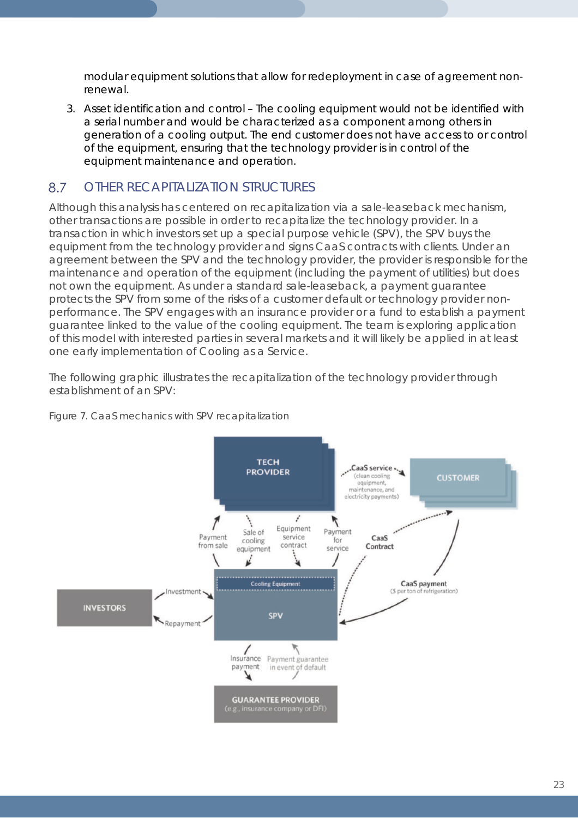modular equipment solutions that allow for redeployment in case of agreement nonrenewal.

3. Asset identification and control – The cooling equipment would not be identified with a serial number and would be characterized as a component among others in generation of a cooling output. The end customer does not have access to or control of the equipment, ensuring that the technology provider is in control of the equipment maintenance and operation.

#### <span id="page-22-0"></span>8.7 OTHER RECAPITALIZATION STRUCTURES

Although this analysis has centered on recapitalization via a sale-leaseback mechanism, other transactions are possible in order to recapitalize the technology provider. In a transaction in which investors set up a special purpose vehicle (SPV), the SPV buys the equipment from the technology provider and signs CaaS contracts with clients. Under an agreement between the SPV and the technology provider, the provider is responsible for the maintenance and operation of the equipment (including the payment of utilities) but does not own the equipment. As under a standard sale-leaseback, a payment guarantee protects the SPV from some of the risks of a customer default or technology provider nonperformance. The SPV engages with an insurance provider or a fund to establish a payment guarantee linked to the value of the cooling equipment. The team is exploring application of this model with interested parties in several markets and it will likely be applied in at least one early implementation of Cooling as a Service.

The following graphic illustrates the recapitalization of the technology provider through establishment of an SPV:



*Figure 7. CaaS mechanics with SPV recapitalization*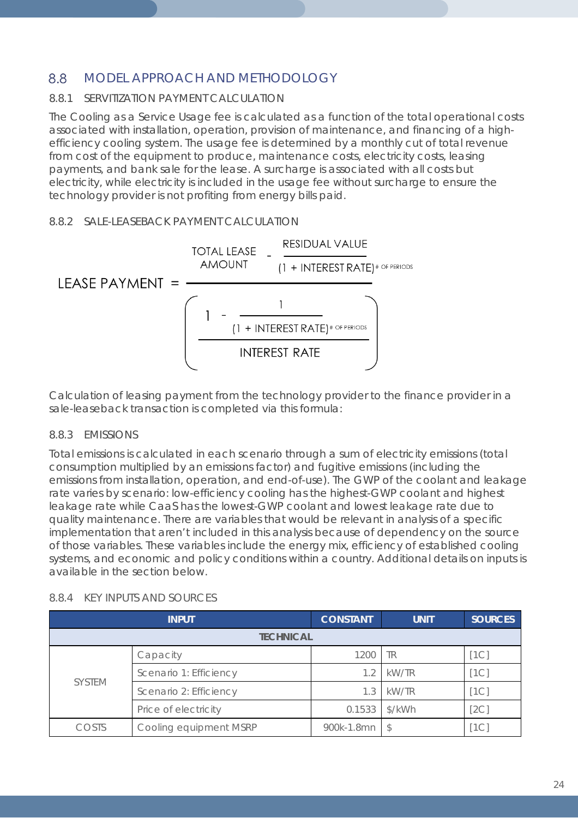### 8.8 MODEL APPROACH AND METHODOLOGY

### 8.8.1 SERVITIZATION PAYMENT CALCULATION

The Cooling as a Service Usage fee is calculated as a function of the total operational costs associated with installation, operation, provision of maintenance, and financing of a highefficiency cooling system. The usage fee is determined by a monthly cut of total revenue from cost of the equipment to produce, maintenance costs, electricity costs, leasing payments, and bank sale for the lease. A surcharge is associated with all costs but electricity, while electricity is included in the usage fee without surcharge to ensure the technology provider is not profiting from energy bills paid.

### 8.8.2 SALE-LEASEBACK PAYMENT CALCULATION



Calculation of leasing payment from the technology provider to the finance provider in a sale-leaseback transaction is completed via this formula:

### 8.8.3 EMISSIONS

Total emissions is calculated in each scenario through a sum of electricity emissions (total consumption multiplied by an emissions factor) and fugitive emissions (including the emissions from installation, operation, and end-of-use). The GWP of the coolant and leakage rate varies by scenario: low-efficiency cooling has the highest-GWP coolant and highest leakage rate while CaaS has the lowest-GWP coolant and lowest leakage rate due to quality maintenance. There are variables that would be relevant in analysis of a specific implementation that aren't included in this analysis because of dependency on the source of those variables. These variables include the energy mix, efficiency of established cooling systems, and economic and policy conditions within a country. Additional details on inputs is available in the section below.

| <b>INPUT</b>  |                        | <b>CONSTANT</b> | <b>UNIT</b> | <b>SOURCES</b> |
|---------------|------------------------|-----------------|-------------|----------------|
|               | <b>TECHNICAL</b>       |                 |             |                |
|               | Capacity               | 1200            | ΓR          | 1 <sup>C</sup> |
| <b>SYSTEM</b> | Scenario 1: Efficiency | 1.2             | kW/TR       | [1C]           |
|               | Scenario 2: Efficiency | 1.3             | kW/TR       | [1C]           |
|               | Price of electricity   | 0.1533          | \$/kWh      | [2C]           |
| COSTS         | Cooling equipment MSRP | 900k-1.8mn      |             |                |

### <span id="page-23-0"></span>8.8.4 KEY INPUTS AND SOURCES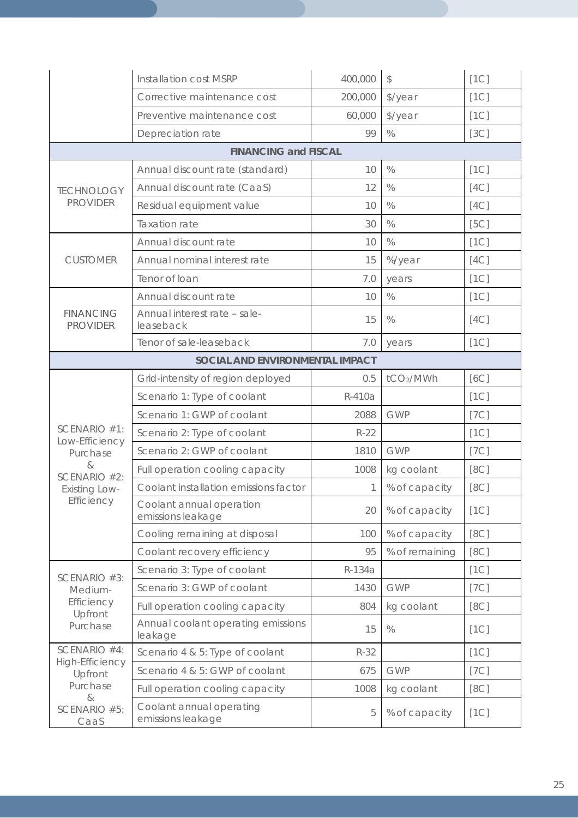|                                     | Installation cost MSRP                        | 400,000 | \$             | [1C] |  |
|-------------------------------------|-----------------------------------------------|---------|----------------|------|--|
|                                     | Corrective maintenance cost                   | 200,000 | \$/year        | [1C] |  |
|                                     | Preventive maintenance cost                   | 60,000  | \$/year        | [1C] |  |
|                                     | Depreciation rate                             | 99      | $\%$           | [3C] |  |
|                                     | <b>FINANCING and FISCAL</b>                   |         |                |      |  |
|                                     | Annual discount rate (standard)               | 10      | $\%$           | [1C] |  |
| <b>TECHNOLOGY</b>                   | Annual discount rate (CaaS)                   | 12      | $\%$           | [4C] |  |
| <b>PROVIDER</b>                     | Residual equipment value                      | 10      | $\%$           | [4C] |  |
|                                     | Taxation rate                                 | 30      | $\%$           | [5C] |  |
|                                     | Annual discount rate                          | 10      | $\%$           | [1C] |  |
| <b>CUSTOMER</b>                     | Annual nominal interest rate                  | 15      | %/year         | [4C] |  |
|                                     | Tenor of loan                                 | 7.0     | years          | [1C] |  |
|                                     | Annual discount rate                          | 10      | $\%$           | [1C] |  |
| <b>FINANCING</b><br><b>PROVIDER</b> | Annual interest rate - sale-<br>leaseback     | 15      | $\%$           | [4C] |  |
|                                     | Tenor of sale-leaseback                       | 7.0     | years          | [1C] |  |
| SOCIAL AND ENVIRONMENTAL IMPACT     |                                               |         |                |      |  |
|                                     | Grid-intensity of region deployed             | 0.5     | tCO2/MWh       | [6C] |  |
|                                     | Scenario 1: Type of coolant                   | R-410a  |                | [1C] |  |
|                                     | Scenario 1: GWP of coolant                    | 2088    | <b>GWP</b>     | [7C] |  |
| SCENARIO #1:<br>Low-Efficiency      | Scenario 2: Type of coolant                   | $R-22$  |                | [1C] |  |
| Purchase                            | Scenario 2: GWP of coolant                    | 1810    | <b>GWP</b>     | [7C] |  |
| &<br>SCENARIO #2:                   | Full operation cooling capacity               | 1008    | kg coolant     | [8C] |  |
| <b>Existing Low-</b>                | Coolant installation emissions factor         | 1       | % of capacity  | [8C] |  |
| Efficiency                          | Coolant annual operation<br>emissions leakage | 20      | % of capacity  | [1C] |  |
|                                     | Cooling remaining at disposal                 | 100     | % of capacity  | [8C] |  |
|                                     | Coolant recovery efficiency                   | 95      | % of remaining | [8C] |  |
| SCENARIO #3:                        | Scenario 3: Type of coolant                   | R-134a  |                | [1C] |  |
| Medium-                             | Scenario 3: GWP of coolant                    | 1430    | <b>GWP</b>     | [7C] |  |
| Efficiency<br>Upfront               | Full operation cooling capacity               | 804     | kg coolant     | [8C] |  |
| Purchase                            | Annual coolant operating emissions<br>leakage | 15      | $\%$           | [1C] |  |
| SCENARIO #4:                        | Scenario 4 & 5: Type of coolant               | $R-32$  |                | [1C] |  |
| High-Efficiency<br>Upfront          | Scenario 4 & 5: GWP of coolant                | 675     | <b>GWP</b>     | [7C] |  |
| Purchase<br>&                       | Full operation cooling capacity               | 1008    | kg coolant     | [8C] |  |
| SCENARIO #5:<br>CaaS                | Coolant annual operating<br>emissions leakage | 5       | % of capacity  | [1C] |  |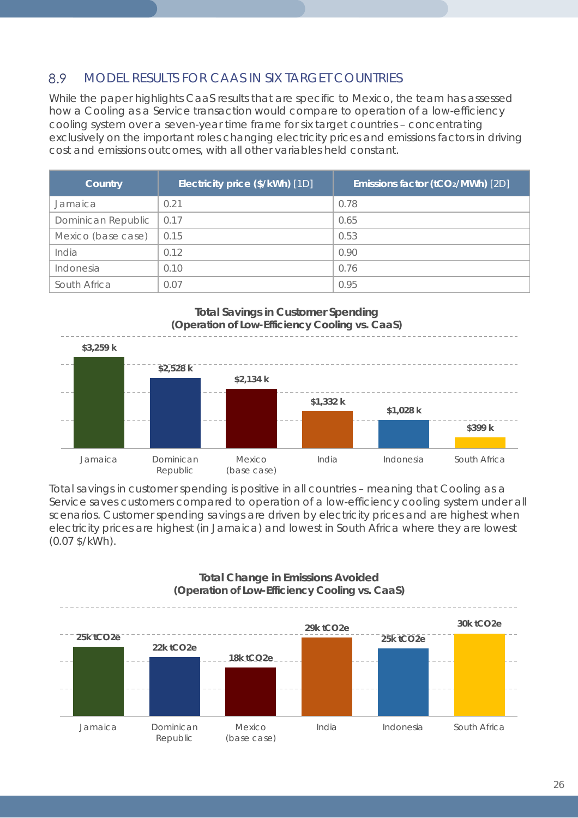#### 8.9 MODEL RESULTS FOR CAAS IN SIX TARGET COUNTRIES

While the paper highlights CaaS results that are specific to Mexico, the team has assessed how a Cooling as a Service transaction would compare to operation of a low-efficiency cooling system over a seven-year time frame for six target countries – concentrating exclusively on the important roles changing electricity prices and emissions factors in driving cost and emissions outcomes, with all other variables held constant.

| Country            | Electricity price (\$/kWh) [1D] | Emissions factor (tCO2/MWh) [2D] |
|--------------------|---------------------------------|----------------------------------|
| Jamaica            | 0.21                            | 0.78                             |
| Dominican Republic | 0.17                            | 0.65                             |
| Mexico (base case) | 0.15                            | 0.53                             |
| India              | 0.12                            | 0.90                             |
| Indonesia          | 0.10                            | 0.76                             |
| South Africa       | 0.07                            | 0.95                             |



Total savings in customer spending is positive in all countries – meaning that Cooling as a Service saves customers compared to operation of a low-efficiency cooling system under all scenarios. Customer spending savings are driven by electricity prices and are highest when electricity prices are highest (in Jamaica) and lowest in South Africa where they are lowest (0.07 \$/kWh).



### 26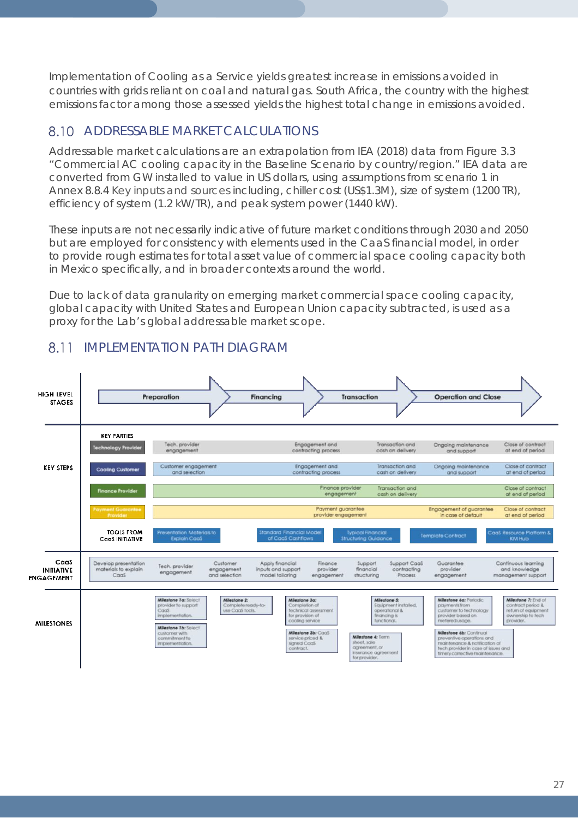Implementation of Cooling as a Service yields greatest increase in emissions avoided in countries with grids reliant on coal and natural gas. South Africa, the country with the highest emissions factor among those assessed yields the highest total change in emissions avoided.

## 8.10 ADDRESSABLE MARKET CALCULATIONS

Addressable market calculations are an extrapolation from IEA (2018) data from Figure 3.3 "Commercial AC cooling capacity in the Baseline Scenario by country/region." IEA data are converted from GW installed to value in US dollars, using assumptions from scenario 1 in *Annex [8.8.4](#page-23-0) [Key inputs and sources](#page-23-0)* including, chiller cost (US\$1.3M), size of system (1200 TR), efficiency of system (1.2 kW/TR), and peak system power (1440 kW).

These inputs are not necessarily indicative of future market conditions through 2030 and 2050 but are employed for consistency with elements used in the CaaS financial model, in order to provide rough estimates for total asset value of commercial space cooling capacity both in Mexico specifically, and in broader contexts around the world.

Due to lack of data granularity on emerging market commercial space cooling capacity, global capacity with United States and European Union capacity subtracted, is used as a proxy for the Lab's global addressable market scope.



## <span id="page-26-0"></span>8.11 IMPLEMENTATION PATH DIAGRAM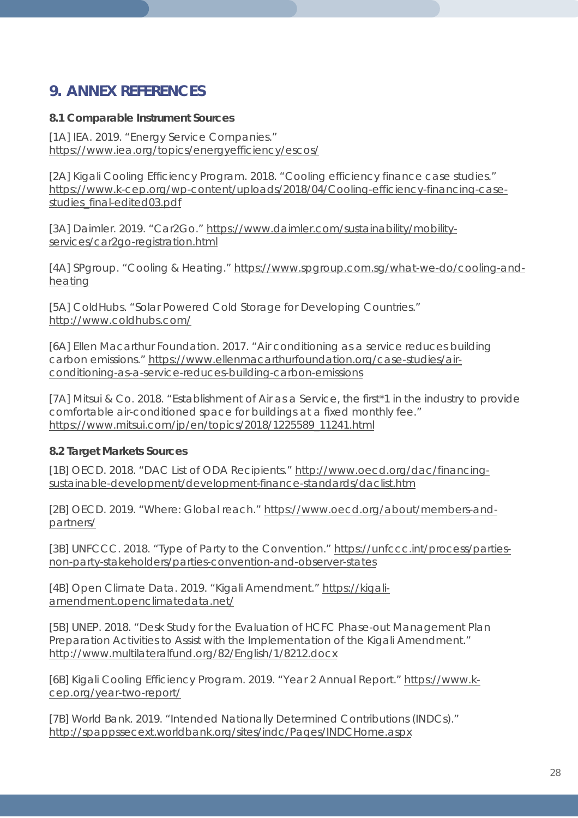## **9. ANNEX REFERENCES**

### **8.1 Comparable Instrument Sources**

[1A] IEA. 2019. "Energy Service Companies." <https://www.iea.org/topics/energyefficiency/escos/>

[2A] Kigali Cooling Efficiency Program. 2018. "Cooling efficiency finance case studies." [https://www.k-cep.org/wp-content/uploads/2018/04/Cooling-efficiency-financing-case](https://www.k-cep.org/wp-content/uploads/2018/04/Cooling-efficiency-financing-case-studies_final-edited03.pdf)[studies\\_final-edited03.pdf](https://www.k-cep.org/wp-content/uploads/2018/04/Cooling-efficiency-financing-case-studies_final-edited03.pdf)

[3A] Daimler. 2019. "Car2Go." [https://www.daimler.com/sustainability/mobility](https://www.daimler.com/sustainability/mobility-services/car2go-registration.html)[services/car2go-registration.html](https://www.daimler.com/sustainability/mobility-services/car2go-registration.html)

[4A] SPgroup. "Cooling & Heating." [https://www.spgroup.com.sg/what-we-do/cooling-and](https://www.spgroup.com.sg/what-we-do/cooling-and-heating)[heating](https://www.spgroup.com.sg/what-we-do/cooling-and-heating)

[5A] ColdHubs. "Solar Powered Cold Storage for Developing Countries." <http://www.coldhubs.com/>

[6A] Ellen Macarthur Foundation. 2017. "Air conditioning as a service reduces building carbon emissions." [https://www.ellenmacarthurfoundation.org/case-studies/air](https://www.ellenmacarthurfoundation.org/case-studies/air-conditioning-as-a-service-reduces-building-carbon-emissions)[conditioning-as-a-service-reduces-building-carbon-emissions](https://www.ellenmacarthurfoundation.org/case-studies/air-conditioning-as-a-service-reduces-building-carbon-emissions)

[7A] Mitsui & Co. 2018. "Establishment of Air as a Service, the first\*1 in the industry to provide comfortable air-conditioned space for buildings at a fixed monthly fee." [https://www.mitsui.com/jp/en/topics/2018/1225589\\_11241.html](https://www.mitsui.com/jp/en/topics/2018/1225589_11241.html)

### **8.2 Target Markets Sources**

[1B] OECD. 2018. "DAC List of ODA Recipients." [http://www.oecd.org/dac/financing](http://www.oecd.org/dac/financing-sustainable-development/development-finance-standards/daclist.htm)[sustainable-development/development-finance-standards/daclist.htm](http://www.oecd.org/dac/financing-sustainable-development/development-finance-standards/daclist.htm)

[2B] OECD. 2019. "Where: Global reach." [https://www.oecd.org/about/members-and](https://www.oecd.org/about/members-and-partners/)[partners/](https://www.oecd.org/about/members-and-partners/)

[3B] UNFCCC. 2018. "Type of Party to the Convention." [https://unfccc.int/process/parties](https://unfccc.int/process/parties-non-party-stakeholders/parties-convention-and-observer-states)[non-party-stakeholders/parties-convention-and-observer-states](https://unfccc.int/process/parties-non-party-stakeholders/parties-convention-and-observer-states)

[4B] Open Climate Data. 2019. "Kigali Amendment." [https://kigali](https://kigali-amendment.openclimatedata.net/)[amendment.openclimatedata.net/](https://kigali-amendment.openclimatedata.net/)

[5B] UNEP. 2018. "Desk Study for the Evaluation of HCFC Phase-out Management Plan Preparation Activities to Assist with the Implementation of the Kigali Amendment." <http://www.multilateralfund.org/82/English/1/8212.docx>

[6B] Kigali Cooling Efficiency Program. 2019. "Year 2 Annual Report." [https://www.k](https://www.k-cep.org/year-two-report/)[cep.org/year-two-report/](https://www.k-cep.org/year-two-report/)

[7B] World Bank. 2019. "Intended Nationally Determined Contributions (INDCs)." <http://spappssecext.worldbank.org/sites/indc/Pages/INDCHome.aspx>